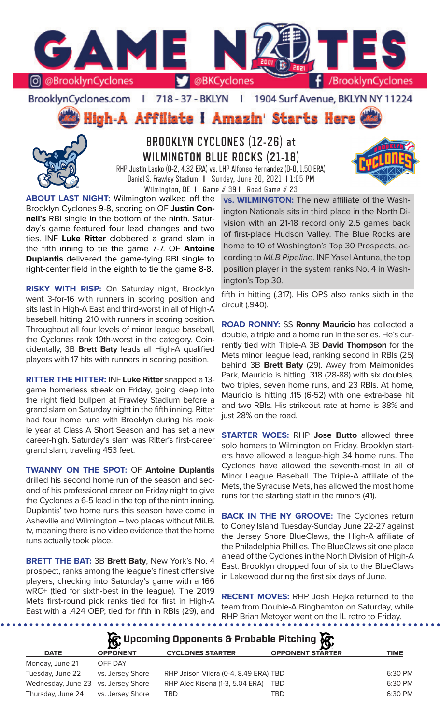

BrooklynCyclones.com | 718 - 37 - BKLYN | 1904 Surf Avenue, BKLYN NY 11224

High-A Affiliate I Amazin' Starts Here



**BROOKLYN CYCLONES (12-26) at WILMINGTON BLUE ROCKS (21-18)** RHP Justin Lasko (0-2, 4.32 ERA) vs. LHP Alfonso Hernandez (0-0, 1.50 ERA)



Daniel S. Frawley Stadium **I** Sunday, June 20, 2021 **I** 1:05 PM Wilmington, DE **I** Game # 39 **I** Road Game # 23 **ABOUT LAST NIGHT:** Wilmington walked off the

Brooklyn Cyclones 9-8, scoring on OF **Justin Connell's** RBI single in the bottom of the ninth. Saturday's game featured four lead changes and two ties. INF **Luke Ritter** clobbered a grand slam in the fifth inning to tie the game 7-7. OF **Antoine Duplantis** delivered the game-tying RBI single to right-center field in the eighth to tie the game 8-8.

**RISKY WITH RISP:** On Saturday night, Brooklyn went 3-for-16 with runners in scoring position and sits last in High-A East and third-worst in all of High-A baseball, hitting .210 with runners in scoring position. Throughout all four levels of minor league baseball, the Cyclones rank 10th-worst in the category. Coincidentally, 3B **Brett Baty** leads all High-A qualified players with 17 hits with runners in scoring position.

**RITTER THE HITTER:** INF **Luke Ritter** snapped a 13 game homerless streak on Friday, going deep into the right field bullpen at Frawley Stadium before a grand slam on Saturday night in the fifth inning. Ritter had four home runs with Brooklyn during his rookie year at Class A Short Season and has set a new career-high. Saturday's slam was Ritter's first-career grand slam, traveling 453 feet.

**TWANNY ON THE SPOT:** OF **Antoine Duplantis** drilled his second home run of the season and second of his professional career on Friday night to give the Cyclones a 6-5 lead in the top of the ninth inning. Duplantis' two home runs this season have come in Asheville and Wilmington -- two places without MiLB. tv, meaning there is no video evidence that the home runs actually took place.

**BRETT THE BAT:** 3B **Brett Baty**, New York's No. 4 prospect, ranks among the league's finest offensive players, checking into Saturday's game with a 166 wRC+ (tied for sixth-best in the league). The 2019 Mets first-round pick ranks tied for first in High-A East with a .424 OBP, tied for fifth in RBIs (29), and

. . . . . . . .

**vs. WILMINGTON:** The new affiliate of the Washington Nationals sits in third place in the North Division with an 21-18 record only 2.5 games back of first-place Hudson Valley. The Blue Rocks are home to 10 of Washington's Top 30 Prospects, according to *MLB Pipeline*. INF Yasel Antuna, the top position player in the system ranks No. 4 in Washington's Top 30.

fifth in hitting (.317). His OPS also ranks sixth in the circuit (.940).

**ROAD RONNY:** SS **Ronny Mauricio** has collected a double, a triple and a home run in the series. He's currently tied with Triple-A 3B **David Thompson** for the Mets minor league lead, ranking second in RBIs (25) behind 3B **Brett Baty** (29). Away from Maimonides Park, Mauricio is hitting .318 (28-88) with six doubles, two triples, seven home runs, and 23 RBIs. At home, Mauricio is hitting .115 (6-52) with one extra-base hit and two RBIs. His strikeout rate at home is 38% and just 28% on the road.

**STARTER WOES:** RHP **Jose Butto** allowed three solo homers to Wilmington on Friday. Brooklyn starters have allowed a league-high 34 home runs. The Cyclones have allowed the seventh-most in all of Minor League Baseball. The Triple-A affiliate of the Mets, the Syracuse Mets, has allowed the most home runs for the starting staff in the minors (41).

**BACK IN THE NY GROOVE:** The Cyclones return to Coney Island Tuesday-Sunday June 22-27 against the Jersey Shore BlueClaws, the High-A affiliate of the Philadelphia Phillies. The BlueClaws sit one place ahead of the Cyclones in the North Division of High-A East. Brooklyn dropped four of six to the BlueClaws in Lakewood during the first six days of June.

**RECENT MOVES:** RHP Josh Hejka returned to the team from Double-A Binghamton on Saturday, while RHP Brian Metoyer went on the IL retro to Friday.

**松** Upcoming Opponents & Probable Pitching **依** 

| <b>DATE</b>                         | <b>OPPONENT</b>  | <b>CYCLONES STARTER</b>               | <b>OPPONENT STARTER</b> | TIME    |
|-------------------------------------|------------------|---------------------------------------|-------------------------|---------|
| Monday, June 21                     | OFF DAY          |                                       |                         |         |
| Tuesday, June 22                    | vs. Jersey Shore | RHP Jaison Vilera (0-4, 8.49 ERA) TBD |                         | 6:30 PM |
| Wednesday, June 23 vs. Jersey Shore |                  | RHP Alec Kisena (1-3, 5.04 ERA)       | TBD                     | 6:30 PM |
| Thursday, June 24                   | vs. Jersey Shore | TBD                                   | TBD                     | 6:30 PM |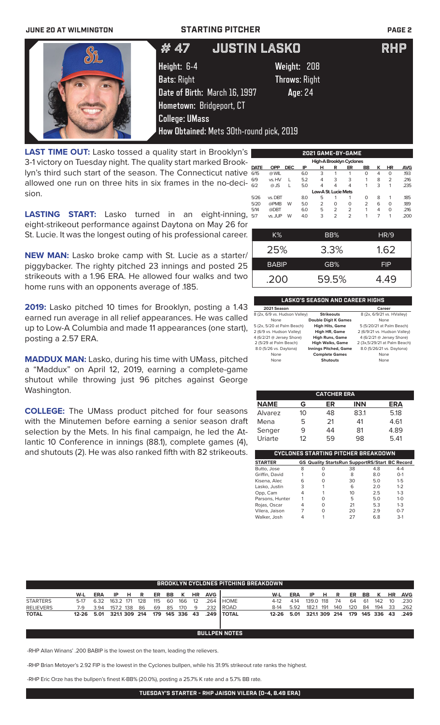## **JUNE 20 AT WILMINGTON STARTING PITCHER PAGE 2**

|    | # 47                                                                                                                    | <b>JUSTIN LASKO</b>                                                                        | RHP |
|----|-------------------------------------------------------------------------------------------------------------------------|--------------------------------------------------------------------------------------------|-----|
| O. | Height: 6-4<br><b>Bats: Right</b><br>Date of Birth: March 16, 1997<br>Hometown: Bridgeport, CT<br><b>College: UMass</b> | Weight: 208<br><b>Throws: Right</b><br>Age: 24<br>How Obtained: Mets 30th-round pick, 2019 |     |
|    |                                                                                                                         |                                                                                            |     |

**LAST TIME OUT:** Lasko tossed a quality start in Brooklyn' 3-1 victory on Tuesday night. The quality start marked Brooklyn's third such start of the season. The Connecticut native allowed one run on three hits in six frames in the no-decision.

| s  |             |            |            |     |                      |                | 2021 GAME-BY-GAME |                |   |           |            |
|----|-------------|------------|------------|-----|----------------------|----------------|-------------------|----------------|---|-----------|------------|
| (− |             |            |            |     |                      |                |                   |                |   |           |            |
|    | <b>DATE</b> | <b>OPP</b> | <b>DEC</b> | IP  | н                    | R              | ER                | <b>BB</b>      | к | <b>HR</b> | <b>AVG</b> |
| е  | 6/15        | @ WIL      |            | 6.0 | 3                    |                |                   | 0              | 4 | $\Omega$  | .193       |
| i- | 6/9         | vs. HV     |            | 5.2 | 4                    | 3              | 3                 |                | 8 | 2         | .216       |
|    | 6/2         | $@$ JS     | L          | 5.0 | 4                    | 4              | 4                 | 1              | 3 | 1         | .235       |
|    |             |            |            |     | Low-A St. Lucie Mets |                |                   |                |   |           |            |
|    | 5/26        | vs. DBT    |            | 8.0 | 5                    |                |                   | 0              | 8 | 1         | .185       |
|    | 5/20        | @PMB       | W          | 5.0 | $\overline{2}$       | 0              | O                 | $\overline{2}$ | 6 | $\Omega$  | .189       |
|    | 5/14        | @DBT       |            | 6.0 | 5                    | $\overline{2}$ | $\overline{2}$    | 1              | 4 | $\Omega$  | .216       |
|    | 5/7         | vs. JUP    | W          | 4.0 | 3                    | $\overline{2}$ | $\overline{2}$    | 1              |   | 1         | .200       |
|    |             |            |            |     |                      |                |                   |                |   |           |            |

K% BB% HR/9

25% 3.3% 1.62

BABIP **GB%** FIP

.200 59.5% 4.49

**LASTING START:** Lasko turned in an eight-inning, eight-strikeout performance against Daytona on May 26 for St. Lucie. It was the longest outing of his professional career.

**NEW MAN:** Lasko broke camp with St. Lucie as a starter/ piggybacker. The righty pitched 23 innings and posted 25 strikeouts with a 1.96 ERA. He allowed four walks and two home runs with an opponents average of .185.

**2019:** Lasko pitched 10 times for Brooklyn, posting a 1.43 earned run average in all relief appearances. He was called up to Low-A Columbia and made 11 appearances (one start), posting a 2.57 ERA.

**MADDUX MAN:** Lasko, during his time with UMass, pitched a "Maddux" on April 12, 2019, earning a complete-game shutout while throwing just 96 pitches against George Washington.

**COLLEGE:** The UMass product pitched for four seasons with the Minutemen before earning a senior season draft selection by the Mets. In his final campaign, he led the Atlantic 10 Conference in innings (88.1), complete games (4), and shutouts (2). He was also ranked fifth with 82 strikeouts.

| <b>LASKO'S SEASON AND CAREER HIGHS</b> |                              |                              |  |  |  |  |  |  |
|----------------------------------------|------------------------------|------------------------------|--|--|--|--|--|--|
| 2021 Season                            |                              | Career                       |  |  |  |  |  |  |
| 8 (2x, 6/9 vs. Hudson Valley)          | <b>Strikeouts</b>            | 8 (2x, 6/9/21 vs. HValley)   |  |  |  |  |  |  |
| None                                   | <b>Double Digit K Games</b>  | None                         |  |  |  |  |  |  |
| 5 (2x, 5/20 at Palm Beach)             | <b>High Hits, Game</b>       | 5 (5/20/21 at Palm Beach)    |  |  |  |  |  |  |
| 2 (6/9 vs. Hudson Valley)              | High HR, Game                | 2 (6/9/21 vs. Hudson Valley) |  |  |  |  |  |  |
| 4 (6/2/21 @ Jersey Shore)              | <b>High Runs, Game</b>       | 4 (6/2/21 @ Jersey Shore)    |  |  |  |  |  |  |
| 2 (5/29 at Palm Beach)                 | <b>High Walks, Game</b>      | 2 (3x,5/29/21 at Palm Beach) |  |  |  |  |  |  |
| 8.0 (5/26 vs. Daytona)                 | <b>Innings Pitched, Game</b> | 8.0 (5/26/21 vs. Daytona)    |  |  |  |  |  |  |
| None                                   | <b>Complete Games</b>        | None                         |  |  |  |  |  |  |
| None                                   | <b>Shutouts</b>              | None                         |  |  |  |  |  |  |

| <b>CATCHER ERA</b> |    |    |            |            |  |  |  |  |
|--------------------|----|----|------------|------------|--|--|--|--|
| <b>NAME</b>        | G  | ER | <b>INN</b> | <b>ERA</b> |  |  |  |  |
| Alvarez            | 10 | 48 | 83.1       | 5.18       |  |  |  |  |
| Mena               | 5  | 21 | 41         | 4.61       |  |  |  |  |
| Senger             | 9  | 44 | 81         | 4.89       |  |  |  |  |
| Uriarte            | 12 | 59 | 98         | 5.41       |  |  |  |  |

| CYCLONES STARTING PITCHER BREAKDOWN |   |                                                       |    |     |         |  |  |  |  |
|-------------------------------------|---|-------------------------------------------------------|----|-----|---------|--|--|--|--|
| <b>STARTER</b>                      |   | <b>GS Quality StartsRun SupportRS/Start BC Record</b> |    |     |         |  |  |  |  |
| Butto, Jose                         | 8 | Ω                                                     | 38 | 4.8 | $4 - 4$ |  |  |  |  |
| Griffin, David                      |   | O                                                     | 8  | 8.0 | $O-1$   |  |  |  |  |
| Kisena, Alec                        | 6 | O                                                     | 30 | 5.0 | $1 - 5$ |  |  |  |  |
| Lasko, Justin                       | 3 |                                                       | 6  | 2.0 | $1 - 2$ |  |  |  |  |
| Opp, Cam                            | 4 |                                                       | 10 | 2.5 | $1 - 3$ |  |  |  |  |
| Parsons, Hunter                     |   | ∩                                                     | 5  | 5.0 | $1 - 0$ |  |  |  |  |
| Rojas, Oscar                        |   | O                                                     | 21 | 5.3 | $1 - 3$ |  |  |  |  |
| Vilera, Jaison                      |   | O                                                     | 20 | 2.9 | $0 - 7$ |  |  |  |  |
| Walker, Josh                        |   |                                                       | フフ | 6.8 | $3-1$   |  |  |  |  |

|                  |        |            |              |     |     |     |    |         |           |            | <b>BROOKLYN CYCLONES PITCHING BREAKDOWN</b> |        |      |              |     |     |     |     |         |           |            |
|------------------|--------|------------|--------------|-----|-----|-----|----|---------|-----------|------------|---------------------------------------------|--------|------|--------------|-----|-----|-----|-----|---------|-----------|------------|
|                  |        |            |              |     |     |     |    |         |           |            |                                             |        |      |              |     |     |     |     |         |           |            |
|                  | W-L    | <b>ERA</b> | IP.          | - н | R   | ER  | BB | к       | <b>HR</b> | <b>AVG</b> |                                             | W-L    | ERA  | IP.          | н   | R   | ER  | BB. |         | <b>HR</b> | <b>AVG</b> |
| <b>STARTERS</b>  | $5-17$ | 6.32       | 163.2 171    |     | 128 | 115 | 60 | 166     | 12        | 264        | <b>HOME</b>                                 | 4-12   | 4.14 | 139.0 118    |     | 74  | 64  | -61 | 142     | 10        | .230       |
| <b>RELIEVERS</b> | 7-9    | 3.94       | 157.2 138    |     | 86  | 69  | 85 | 170     | 9         | .232       | l ROAD.                                     | $8-14$ | 5.92 | 182.1        | 191 | 140 | 120 | 84  | 194     | 33        | .262       |
| <b>TOTAL</b>     | 12-26  | 5.01       | 3211 309 214 |     |     | 179 |    | 145 336 | 43        | .249       | <b>I TOTAL</b>                              | 12-26  | 5.01 | 3211 309 214 |     |     | 179 |     | 145 336 | 43        | .249       |
|                  |        |            |              |     |     |     |    |         |           |            |                                             |        |      |              |     |     |     |     |         |           |            |
|                  |        |            |              |     |     |     |    |         |           |            | <b>BULLPEN NOTES</b>                        |        |      |              |     |     |     |     |         |           |            |

-RHP Allan Winans' .200 BABIP is the lowest on the team, leading the relievers.

-RHP Brian Metoyer's 2.92 FIP is the lowest in the Cyclones bullpen, while his 31.9% strikeout rate ranks the highest.

-RHP Eric Orze has the bullpen's finest K-BB% (20.0%), posting a 25.7% K rate and a 5.7% BB rate.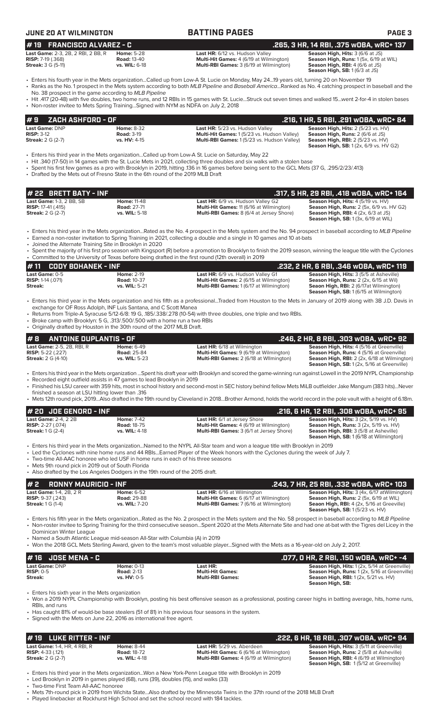**JUNE 20 AT WILMINGTON BATTING PAGES PAGE 3 # 22 BRETT BATY - INF .317, 5 HR, 29 RBI, .418 wOBA, wRC+ 164 Last Game:** 1-3, 2 BB, SB **Home:** 11-48 **Last HR:** 6/9 vs. Hudson Valley G2 **Season High, Hits:** 4 (5/19 vs. HV) **RISP:** 17-41 (.415) **Road:** 27-71 **Multi-Hit Games:** 11 (6/16 at Wilmington) **Season High, Runs:** 2 (5x, 6/9 vs. HV G2) **Multi-RBI Games:**  $8(6/4 \text{ at Jersey Shore})$  **Season High, SB:** 1 (3x, 6/19 at WIL) • Enters his third year in the Mets organization...Rated as the No. 4 prospect in the Mets system and the No. 94 prospect in baseball according to *MLB Pipeline* • Earned a non-roster invitation to Spring Training in 2021, collecting a double and a single in 10 games and 10 at-bats • Joined the Alternate Training Site in Brooklyn in 2020 • Spent the majority of his first pro season with Kingsport (R) before a promotion to Brooklyn to finish the 2019 season, winning the league title with the Cyclones • Committed to the University of Texas before being drafted in the first round (12th overall) in 2019 **# 11 CODY BOHANEK - INF .232, 2 HR, 6 RBI, .346 wOBA, wRC+ 119 Last Game:** 0-5 **Home:** 2-19 **Last HR:** 6/9 vs. Hudson Valley G1 **Season High, Hits:** 3 (5/5 at Asheville) **RISP:** 1-14 (.071) **Road:** 10-37 **Multi-Hit Games:** 2 (6/15 at Wilmington) **Season High, Runs:** 2 (2x, 6/15 at Wil) **Streak: vs. WIL:** 5-21 **Multi-RBI Games:** 1 (6/17 at Wilmington) **Seaon High, RBI:** 2 (6/17at Wilmington) **Season High, SB:** 1 (6/15 at Wilmington) • Enters his third year in the Mets organization and his fifth as a professional...Traded from Houston to the Mets in January of 2019 along with 3B J.D. Davis in exchange for OF Ross Adolph, INF Luis Santana, and C Scott Manea • Returns from Triple-A Syracuse 5/12-6/8: 19 G, .185/.338/.278 (10-54) with three doubles, one triple and two RBIs. • Broke camp with Brooklyn: 5 G, .313/.500/.500 with a home run a two RBIs • Originally drafted by Houston in the 30th round of the 2017 MLB Draft. **# 2 RONNY MAURICIO - INF .243, 7 HR, 25 RBI, .332 wOBA, wRC+ 103 Last Game:** 1-4, 2B, 2 R **Home:** 6-52 **Last HR:** 6/16 at Wilmington **Season High, Hits:** 3 (4x, 6/17 atWilmington) **RISP:** 9-37 (.243) **Road: 29-88 Rise in the Multi-Hit Games: 6 (6/17 at Wilmington) RISP: 9-37** (.243) **Road: 29-88 Multi-Hit Games: 6 (6/17 at Wilmington) Streak: 1 G (1-4) Streak: 1 G (1-4) Road: 29-88 Mul Streak:** 1 G (1-4) **vs. WIL:** 7-20 **Multi-RBI Games:** 7 (6/16 at Wilmington) **Seaon High, RBI:** 4 (2x, 5/16 at Greeville) **Season High, SB:** 1 (5/23 vs. HV) • Enters his fifth year in the Mets organization...Rated as the No. 2 prospect in the Mets system and the No. 58 prospect in baseball according to *MLB Pipeline* • Non-roster invitee to Spring Training for the third consecutive season...Spent 2020 at the Mets Alternate Site and had one at-bat with the Tigres del Licey in the Dominican Winter League • Named a South Atlantic League mid-season All-Star with Columbia (A) in 2019 • Won the 2018 GCL Mets Sterling Award, given to the team's most valuable player...Signed with the Mets as a 16-year-old on July 2, 2017. **# 8 ANTOINE DUPLANTIS - OF .246, 2 HR, 8 RBI, .303 wOBA, wRC+ 92 Last Game: 2-5, 2B, RBI, R Home: 6-49 Last HR:** 6/18 at Wilmington **Season High, Hits: 4 (5/16 at Greenville)**<br>**RISP: 5-22 (.227) <b>Road: 25-84 Multi-Hit Games: 9 (6/19 at Wilmington) Season High, Runs: 4 (5/16 at RISP:** 5-22 (.227)<br> **Road:** 25-84 **Multi-Hit Games:** 9 (6/19 at Wilmington) **Season High, Runs: 4 (5/16 at Greenville)**<br> **Streak:** 2 G (4-10) **Season High, RBI:** 2 (2x, 6/18 at Wilmington) **Season High, RBI:** 2 (2x, 6/18 **Streak:** 2 G (4-10) **vs. WIL:** 5-23 **Multi-RBI Games:** 2 (6/18 at WIlmington) **Season High, RBI:** 2 (2x, 6/18 at Wilmington) **Season High, SB:** 1 (2x, 5/16 at Greenville) • Enters his third year in the Mets organization ...Spent his draft year with Brooklyn and scored the game-winning run against Lowell in the 2019 NYPL Championship • Recorded eight outfield assists in 47 games to lead Brooklyn in 2019 • Finished his LSU career with 359 hits, most in school history and second-most in SEC history behind fellow Mets MiLB outfielder Jake Mangum (383 hits)...Never finished a season at LSU hitting lower than .316 • Mets 12th round pick, 2019...Also drafted in the 19th round by Cleveland in 2018...Brother Armond, holds the world record in the pole vault with a height of 6.18m. **# 20 JOE GENORD - INF .216, 6 HR, 12 RBI, .308 wOBA, wRC+ 95 Last Game:** 2-4, 2 2B **Home:** 7-42 **Last HR:** 6/1 at Jersey Shore **Season High, Hits:** 3 (2x, 5/19 vs. HV) **RISP:** 2-27 (.074) **Road:** 18-75 **Multi-Hit Games:** 4 (6/19 at Wilmington) **Season High, Runs:** 3 (2x, 5/19 vs. HV) **Streak: 1 G (2-4)**<br>**Streak: 1 G (2-4) Road: 18-75 Multi-RBI Games: 4 (6/19 at Wilmington) Season High, Runs: 3 (2x, 5/19 vs. HV)**<br>**Streak: 1** G (2-4) **vs. WIL:** 4-18 **Multi-RBI Games: 3** (6/1 at Jersey Shore) **Seaso Season High, SB:** 1 (6/18 at Wilmington) • Enters his third year in the Mets organization...Named to the NYPL All-Star team and won a league title with Brooklyn in 2019 • Led the Cyclones with nine home runs and 44 RBIs...Earned Player of the Week honors with the Cyclones during the week of July 7. • Two-time All-AAC honoree who led USF in home runs in each of his three seasons Mets 9th round pick in 2019 out of South Florida • Also drafted by the Los Angeles Dodgers in the 19th round of the 2015 draft. **# 16 JOSE MENA - C .077, 0 HR, 2 RBI, .150 wOBA, wRC+ -4 Last Game:** DNP **Home:** 0-13 **Last HR: Season High, Hits:** 1 (2x, 5/14 at Greenville) **RISP:** 0-5 **Road:** 2-13 **Multi-Hit Games: Season High, Runs:** 1 (2x, 5/16 at Greenville) **Streak: vs. HV:** 0-5 **Multi-RBI Games: Season High, RBI:** 1 (2x, 5/21 vs. HV) **Season High, SB:**  • Enters his sixth year in the Mets organization • Won a 2019 NYPL Championship with Brooklyn, posting his best offensive season as a professional, posting career highs in batting average, hits, home runs, RBIs, and runs • Has caught 81% of would-be base stealers (51 of 81) in his previous four seasons in the system. Signed with the Mets on June 22, 2016 as international free agent. **Last Game: DNP Home: 8-32 Last HR:** 5/23 vs. Hudson Valley **Season High, Hits:** 2 (5/23 vs. HV)<br> **RISP:** 3-12 **Road: 3-19 Road: 3-19 Multi-Hit Games:** 1 (5/23 vs. Hudson Valley) **Season High, Runs:** 2 (6/6 at JS) **RISP:** 3-12 **Road:** 3-19 **Multi-Hit Games:** 1 (5/23 vs. Hudson Valley) **Season High, Runs:** 2 (6/6 at JS) **Multi-RBI Games:** 1 (5/23 vs. Hudson Valley) **Season High, SB:** 1 (2x, 6/9 vs. HV G2) • Enters his third year in the Mets organization...Called up from Low-A St. Lucie on Saturday, May 22 • Hit .340 (17-50) in 14 games with the St. Lucie Mets in 2021, collecting three doubles and six walks with a stolen base • Spent his first few games as a pro with Brooklyn in 2019, hitting .136 in 16 games before being sent to the GCL Mets (37 G, .295/2/23/.413) • Drafted by the Mets out of Fresno State in the 6th round of the 2019 MLB Draft **# 9 ZACH ASHFORD - OF .216, 1 HR, 5 RBI, .291 wOBA, wRC+ 84 Last Game: 2-3, 2B, 2 RBI, 2 BB, R <b>Home: 5-28 Last HR:** 6/12 vs. Hudson Valley **Season High, Hits:** 3 (6/6 at JS)<br> **RISP:** 7-19 (.368) **Road: 13-40 Multi-Hit Games: 4** (6/19 at Wilmington) **Season High, Runs: 1** (5x, **RISP:** 7-19 (.368) **Road:** 13-40 **Multi-Hit Games:** 4 (6/19 at Wilmington) **Season High, Runs:** 1 (5x, 6/19 at WIL) **Multi-RBI Games:** 3 (6/19 at Wilmington) **Season High, RBI:**  $4(6/6 \text{ at } 1S)$ <br>**Season High, RBI:**  $4(6/3 \text{ at } 1S)$ • Enters his fourth year in the Mets organization...Called up from Low-A St. Lucie on Monday, May 24...19 years old, turning 20 on November 19 • Ranks as the No. 1 prospect in the Mets system according to both *MLB Pipeline* and *Baseball America*...Ranked as No. 4 catching prospect in baseball and the No. 38 prospect in the game according to *MLB Pipeline* • Hit .417 (20-48) with five doubles, two home runs, and 12 RBIs in 15 games with St. Lucie...Struck out seven times and walked 15...went 2-for-4 in stolen bases • Non-roster invitee to Mets Spring Training...Signed with NYM as NDFA on July 2, 2018 **# 19 FRANCISCO ALVAREZ - C .265, 3 HR, 14 RBI, .375 wOBA, wRC+ 137**

**# 19 LUKE RITTER - INF .222, 6 HR, 18 RBI, .307 wOBA, wRC+ 94 Last Game:** 1-4, HR, 4 RBI, R **Home:** 8-44 **Last HR:** 5/29 vs. Aberdeen **Season High, Hits:** 3 (5/11 at Greenville)<br> **RISP:** 4-33 (.121) **Road:** 18-72 **Multi-Hit Games:** 6 (6/16 at Wilmington) **Season High, Runs:** 2 (5/8 **RISP:** 4-33 (.121) **Road: 18-72 Road: 18-72 Multi-Hit Games: 6 (6/16 at Wilmington)**<br>**Streak:** 2 G (2-7) **Road: 18-72 Road: 18-72 Multi-RBI Games:** 4 (6/19 at Wilmington) **Streak:** 2 G (2-7) **vs. WIL:** 4-18 **Multi-RBI Games:** 4 (6/19 at Wilmington) **Season High, RBI:** 4 (6/19 at Wilmington) **Season High, SB:** 1 (5/12 at Greenville)

• Enters his third year in the Mets organization...Won a New York-Penn League title with Brooklyn in 2019

• Led Brooklyn in 2019 in games played (68), runs (39), doubles (15), and walks (33)

• Two-time First Team All-AAC honoree

Mets 7th-round pick in 2019 from Wichita State. Also drafted by the Minnesota Twins in the 37th round of the 2018 MLB Draft • Played linebacker at Rockhurst High School and set the school record with 184 tackles.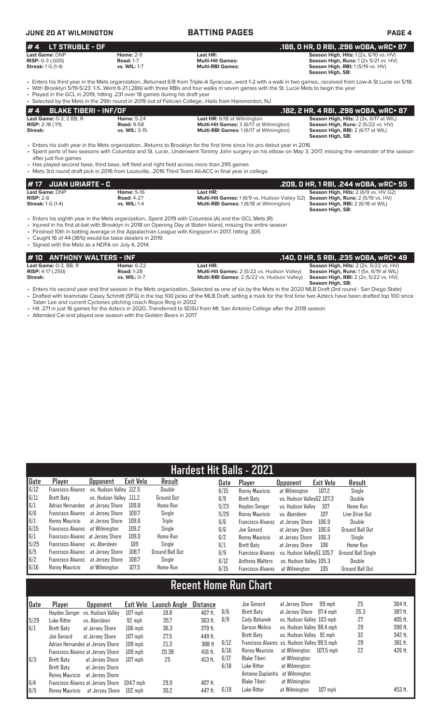# **JUNE 20 AT WILMINGTON BATTING PAGES PAGE 4**

| $# 4$ LT STRUBLE - OF                       |                                      |                                                                   | .188, O HR, O RBI, .296 wOBA, wRC+ 87                                                                        |
|---------------------------------------------|--------------------------------------|-------------------------------------------------------------------|--------------------------------------------------------------------------------------------------------------|
| Last Game: DNP<br><b>RISP:</b> $0-3$ (.000) | <b>Home: 2-9</b><br><b>Road: 1-7</b> | Last HR:<br><b>Multi-Hit Games:</b>                               | <b>Season High, Hits: 1 (2x, 6/10 vs. HV)</b><br><b>Season High, Runs:</b> $1(2 \times 5/21 \text{ vs. HV})$ |
| <b>Streak:</b> 1 G (1-4)                    | vs. WIL: 1-7                         | <b>Multi-RBI Games:</b>                                           | <b>Season High, RBI:</b> 1(5/19 vs. HV)<br>Season High, SB:                                                  |
|                                             |                                      | $\sim$ $\sim$ $\sim$<br>$\sim$ $\sim$ $\sim$ $\sim$ $\sim$ $\sim$ |                                                                                                              |

• Enters his third year in the Mets organization...Returned 6/8 from Triple-A Syracuse...went 1-2 with a walk in two games...received from Low-A St Lucie on 5/18. • With Brooklyn 5/19-5/23: 1-5...Went 6-21 (.286) with three RBIs and four walks in seven games with the St. Lucie Mets to begin the year • Played in the GCL in 2019, hitting .231 over 18 games during his draft year

|                                |                   | • Selected by the Mets in the 29th round in 2019 out of Felician CollegeHails from Hammonton, NJ |                                               |
|--------------------------------|-------------------|--------------------------------------------------------------------------------------------------|-----------------------------------------------|
| $# 4$ BLAKE TIBERI - INF/OF    |                   |                                                                                                  | .182. 2 HR. 4 RBI. .296 WOBA. WRC+ 87         |
| <b>Last Game: 0-3, 2 BB, R</b> | <b>Home: 5-24</b> | <b>Last HR:</b> 6/18 at Wilmington                                                               | <b>Season High, Hits: 2 (3x, 6/17 at WIL)</b> |
| <b>RISP:</b> $2-18$ (.111)     | <b>Road: 9-58</b> | <b>Multi-Hit Games:</b> 3 (6/17 at Wilmington)                                                   | Season High, Runs: 2 (5/22 vs. HV)            |
| Streak:                        | vs. WIL: 3-15     | <b>Multi-RBI Games: 1 (6/17 at Wilmington)</b>                                                   | <b>Season High, RBI: 2 (6/17 at WIL)</b>      |
|                                |                   |                                                                                                  | - - - - -                                     |

 **Season High, SB:**  • Enters his sixth year in the Mets organization...Returns to Brooklyn for the first time since his pro debut year in 2016 • Spent parts of two seasons with Columbia and St. Lucie...Underwent Tommy John surgery on his elbow on May 3, 2017, missing the remainder of the season

after just five games

• Has played second base, third base, left field and right field across more than 295 games • Mets 3rd round draft pick in 2016 from Louisville...2016 Third Team All-ACC in final year in college.

| <i>H</i> 17 JUAN URIARTE - C |                   |                                                                                                | .209. O HR. 1 RBI. .244 wOBA. wRC+ 55       |
|------------------------------|-------------------|------------------------------------------------------------------------------------------------|---------------------------------------------|
| <b>Last Game: DNP</b>        | <b>Home: 5-16</b> | Last HR:                                                                                       | <b>Season High, Hits: 2 (6/9 vs. HV G2)</b> |
| $RISP: 2-8$                  | <b>Road: 4-27</b> | <b>Multi-Hit Games:</b> 1 (6/9 vs. Hudson Valley G2) <b>Season High, Runs:</b> 2 (5/19 vs. HV) |                                             |
| <b>Streak:</b> 1 G (1-4)     | vs. WIL: 1-4      | <b>Multi-RBI Games: 1 (6/18 at Wilmington)</b>                                                 | <b>Season High, RBI: 2 (6/18 at WIL)</b>    |
|                              |                   |                                                                                                | Season High, SB:                            |

• Enters his eighth year in the Mets organization...Spent 2019 with Columbia (A) and the GCL Mets (R)

• Injured in his first at-bat with Brooklyn in 2018 on Opening Day at Staten Island, missing the entire season

• Finished 10th in batting average in the Appalachian League with Kingsport in 2017, hitting .305

• Caught 16 of 44 (36%) would-be base stealers in 2019. • Signed with the Mets as a NDFA on July 4, 2014.

| #10 ANTHONY WALTERS - INF    |                   |                                                    | . .140, 0 HR, 5 RBI, .235 w0BA, wRC+ 49       |
|------------------------------|-------------------|----------------------------------------------------|-----------------------------------------------|
| Last Game: $0-3$ . BB. R     | <b>Home: 6-22</b> | Last HR:                                           | <b>Season High, Hits: 2 (2x, 5/22 vs. HV)</b> |
| <b>RISP:</b> $4-17$ $(.250)$ | <b>Road: 1-28</b> | <b>Multi-Hit Games:</b> 2 (5/22 vs. Hudson Valley) | <b>Season High, Runs:</b> 1(5x, 6/19 at WIL)  |
| Streak:                      | vs. WIL: 0-7      | <b>Multi-RBI Games:</b> 2 (5/22 vs. Hudson Valley) | <b>Season High, RBI:</b> 2 (2x, 5/22 vs. HV)  |
|                              |                   |                                                    | Season High, SB:                              |

- second year and first season in the Mets organization...Selected as one of six by the Mets in the 2020 MLB Draft (3rd round San Diego State) • Drafted with teammate Casey Schmitt (SFG) in the top 100 picks of the MLB Draft, setting a mark for the first time two Aztecs have been drafted top 100 since Taber Lee and current Cyclones pitching coach Royce Ring in 2002
- Hit .271 in just 16 games for the Aztecs in 2020...Transferred to SDSU from Mt. San Antonio College after the 2018 season

• Attended Cal and played one season with the Golden Bears in 2017

| <b>Hardest Hit Balls - 2021</b> |                                   |                         |           |                   |      |                        |                           |           |                           |  |
|---------------------------------|-----------------------------------|-------------------------|-----------|-------------------|------|------------------------|---------------------------|-----------|---------------------------|--|
| Date                            | Player                            | <b>Opponent</b>         | Exit Velo | Result            | Date | Player                 | <b>Opponent</b>           | Exit Velo | Result                    |  |
| 6/12                            | <b>Francisco Alvarez</b>          | vs. Hudson Vallev 112.5 |           | Double            | 6/15 | Ronny Mauricio         | at Wilmington             | 107.2     | Single                    |  |
| 6/11                            | <b>Brett Baty</b>                 | vs. Hudson Valley 111.2 |           | <b>Ground Out</b> | 6/9  | Brett Baty             | vs. Hudson ValleyG2 107.3 |           | Double                    |  |
| 6/1                             | Adrian Hernandez                  | at Jersev Shore         | 109.8     | Home Run          | 5/23 | Havden Senger          | vs. Hudson Vallev         | 107       | <b>Home Run</b>           |  |
| 6/6                             | Francisco Alvarez                 | at Jersev Shore         | 109.7     | Single            | 5/29 | Ronny Mauricio         | vs. Aberdeen              | 107       | Line Drive Out            |  |
| 6/1                             | Ronny Mauricio                    | at Jersev Shore         | 109.6     | Triple            | 6/6  | Francisco Alvarez      | at Jersev Shore           | 106.9     | Double                    |  |
| 6/15                            | Francisco Alvarez at Wilmington   |                         | 109.2     | Single            | 6/6  | Joe Genord             | at Jersey Shore           | 106.6     | Ground Ball Out           |  |
| $\vert 6/1$                     | Francisco Alvarez at Jersey Shore |                         | 109.0     | Home Run          | 6/2  | Ronny Mauricio         | at Jersev Shore           | 106.3     | Single                    |  |
| 5/25                            | Francisco Alvarez vs. Aberdeen    |                         | 109       | Single            | 6/1  | <b>Brett Baty</b>      | at Jersey Shore           | 106       | Home Run                  |  |
| 6/5                             | Francisco Alvarez at Jersey Shore |                         | 108.7     | Ground Ball Out   | 6/9  | Francisco Alvarez      | vs. Hudson VallevG1 105.7 |           | <b>Ground Ball Single</b> |  |
| 6/2                             | Francisco Alvarez at Jersey Shore |                         | 108.7     | Single            | 6/12 | <b>Anthony Walters</b> | vs. Hudson Valley 105.3   |           | Double                    |  |
| 6/16                            | Ronny Mauricio                    | at Wilmington           | 107.5     | <b>Home Run</b>   | 6/15 | Francisco Alvarez      | at Wilmington             | 105       | <b>Ground Ball Out</b>    |  |

# **Recent Home Run Chart**

| Date         | Player         | Opponent                          | Exit Velo | Launch Angle | <b>Distance</b> |      | Joe Genord                                   | at Jersev Shore            | 99 mph    | 25   | 384 ft. |
|--------------|----------------|-----------------------------------|-----------|--------------|-----------------|------|----------------------------------------------|----------------------------|-----------|------|---------|
|              |                | Havden Senger vs. Hudson Valley   | $107$ mph | 19.8         | 407 ft.         | 6/6  | Brett Baty                                   | at Jersey Shore            | 97.4 mph  | 26.3 | 387 ft. |
| 5/29         | Luke Ritter    | vs. Aberdeen                      | 92 mph    | 35.7         | 363 ft.         | 6/9  | Cody Bohanek                                 | vs. Hudson Valley 103 mph  |           | 27   | 405 ft. |
| $\sqrt{6/1}$ | Brett Baty     | at Jersev Shore                   | $106$ mph | 36.3         | 379 ft.         |      | Gerson Molina                                | vs. Hudson Valley 98.4 mph |           | 29   | 390 ft. |
|              | Joe Genord     | at Jersev Shore                   | $107$ mph | 27.5         | 449 ft.         |      | Brett Baty                                   | vs. Hudson Valley 91 mph   |           | 32   | 342 ft. |
|              |                | Adrian Hernandez at Jersey Shore  | $109$ mph | 21.3         | 388 ft          | 6/12 | Francisco Alvarez vs. Hudson Valley 99.5 mph |                            |           | 29   | 381 ft. |
|              |                | Francisco Alvarez at Jersey Shore | $109$ mph | 20.38        | 416 ft.         | 6/16 | Ronny Mauricio                               | at Wilmington              | 107.5 mph | 22   | 426 ft. |
| 5/3          | Brett Baty     | at Jersey Shore                   | $107$ mph | 25           | 413 ft.         | 6/17 | Blake Tiberi                                 | at Wilmington              |           |      |         |
|              | Brett Baty     | at Jersev Shore                   |           |              |                 | 6/18 | Luke Ritter                                  | at Wilmington              |           |      |         |
|              | Ronny Mauricio | at Jersey Shore                   |           |              |                 |      | Antoine Duplantis                            | at Wilmington              |           |      |         |
| 6/4          |                | Francisco Alvarez at Jersey Shore | 104.7 mph | 29.9         | 407 ft.         |      | <b>Blake Tiberi</b>                          | at Wilmington              |           |      |         |
| 6/5          | Ronny Mauricio | at Jersey Shore                   | $102$ mph | 30.2         | 447 ft.         | 6/19 | Luke Ritter                                  | at Wilmington              | $107$ mph |      | 453 ft. |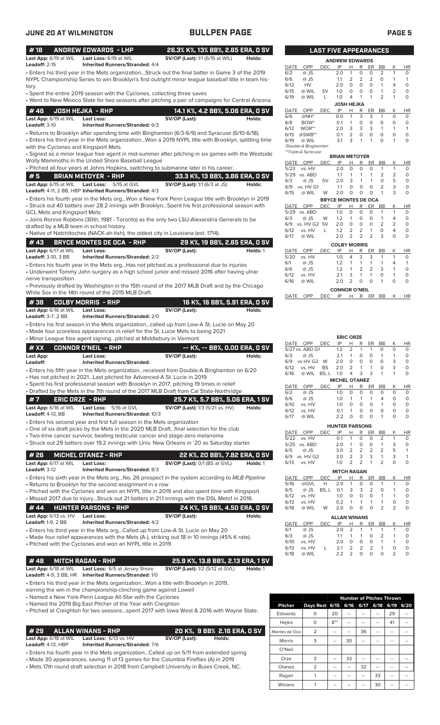| #18                                                 | <b>ANDREW EDWARDS - LHP</b>                                                                                                                                                            | 26.3% K%, 13% BB%, 2.65 ERA, 0 SV      |          |              |                               |                 | <b>LAST FIVE APPEARANCES</b> |                                                 |                               |                              |                    |                            |
|-----------------------------------------------------|----------------------------------------------------------------------------------------------------------------------------------------------------------------------------------------|----------------------------------------|----------|--------------|-------------------------------|-----------------|------------------------------|-------------------------------------------------|-------------------------------|------------------------------|--------------------|----------------------------|
| Last App: 6/19 at WIL<br>Leadoff: 2-15              | Last Loss: 6/19 at WIL<br><b>Inherited Runners/Stranded: 4/4</b>                                                                                                                       | <b>SV/OP (Last):</b> 1/1 (6/15 at WIL) | Holds:   |              |                               |                 | <b>ANDREW EDWARDS</b>        |                                                 |                               |                              |                    |                            |
|                                                     | Enters his third year in the Mets organizationStruck out the final batter in Game 3 of the 2019                                                                                        |                                        |          | DATE<br>6/2  | OPP<br>@ JS                   | <b>DEC</b>      | IP<br>2.0                    | Н<br>R<br>$\mathbf{1}$<br>0                     | ER<br>0                       | BB<br>2                      | К<br>1             | <b>HR</b><br>0             |
|                                                     | NYPL Championship Series to win Brooklyn's first outright minor league baseball title in team his-                                                                                     |                                        |          | 6/6          | @ JS                          |                 | 1.1                          | $\overline{2}$<br>2                             | $\overline{2}$                | $\circ$                      | 1                  | 1                          |
| tory                                                |                                                                                                                                                                                        |                                        |          | 6/12         | HV                            |                 | 2.0                          | $\circ$<br>$\circ$<br>$\circ$                   | $\circ$<br>0                  | $\mathbf{1}$<br>$\mathbf{1}$ | 4                  | $\mathbf 0$<br>$\mathbf 0$ |
|                                                     | • Spent the entire 2019 season with the Cyclones, collecting three saves                                                                                                               |                                        |          | 6/15<br>6/19 | @ WIL<br>@ WIL                | <b>SV</b><br>L  | 1.0<br>1.0                   | 0<br>$\mathbf{1}$<br>$\overline{4}$             | $\mathbf{1}$                  | $\overline{2}$               | 2<br>1             | $\mathbf 0$                |
|                                                     | . Went to New Mexico State for two seasons after pitching a pair of campaigns for Central Arizona.                                                                                     |                                        |          |              |                               |                 |                              | JOSH HEJKA                                      |                               |                              |                    |                            |
| #46                                                 | <b>JOSH HEJKA - RHP</b>                                                                                                                                                                | 14.1 K%, 4.2 BB%, 5.06 ERA, 0 SV       |          | DATE         | OPP                           | <b>DEC</b>      | IP                           | Н<br>R                                          | ER                            | BB                           | К                  | <b>HR</b>                  |
| Last App: 6/19 at WIL                               | Last Loss:                                                                                                                                                                             | SV/OP (Last):                          | Holds:   | 6/6<br>6/8   | $@NH*$<br>BOW <sup>*</sup>    |                 | 0.0<br>0.1                   | 3<br>$\mathbf{1}$<br>0<br>$\mathbf{1}$          | 3<br>0                        | $\mathbf{1}$<br>$\circ$      | $\circ$<br>$\circ$ | $\circ$<br>$\mathbf 0$     |
| Leadoff: 3-10                                       | Inherited Runners/Stranded: 6/3                                                                                                                                                        |                                        |          | 6/12         | WOR**                         |                 | 2.0                          | 3<br>3                                          | 3                             | $\mathbf{1}$                 | 1                  | $\mathbf{1}$               |
|                                                     | - Returns to Brooklyn after spending time with Binghamton (6/3-6/9) and Syracuse (6/10-6/18).                                                                                          |                                        |          | 6/15         | $@SWB**$                      |                 | 0.1                          | $\overline{2}$<br>$\circ$                       | 0                             | $\circ$                      | $\circ$            | $\mathbf 0$                |
|                                                     | · Enters his third year in the Mets organizationWon a 2019 NYPL title with Brooklyn, splitting time                                                                                    |                                        |          | 6/19         | @ WIL<br>*Double-A Binghamton |                 | 3.1                          | 3<br>$\mathbf{1}$                               | 1                             | $\Omega$                     | 1                  | $\mathbf 0$                |
| with the Cyclones and Kingsport Mets                | · Signed as a minor league free agent in mid-summer after pitching in six games with the Westside                                                                                      |                                        |          |              | **Triple-A Syracuse           |                 |                              |                                                 |                               |                              |                    |                            |
|                                                     | Wolly Mammoths in the United Shore Baseball League                                                                                                                                     |                                        |          | DATE         | OPP                           | <b>DEC</b>      | <b>BRIAN METOYER</b><br>IP   | н                                               | R<br>ER                       | <b>BB</b>                    | К                  | <b>HR</b>                  |
|                                                     | . Pitched all four years at Johns Hopkins, switching to submarine later in his career.                                                                                                 |                                        |          | 5/23         | vs. HV                        |                 | 2.0                          | $\circ$<br>$\circ$                              | $\mathbf 0$                   | $\mathbf{1}$                 | $\mathbf{1}$       | $\circ$                    |
| #5                                                  | <b>BRIAN METOYER - RHP</b>                                                                                                                                                             | 33.3 K%, 13 BB%, 3.86 ERA, 0 SV        |          |              | 5/29 vs. ABD                  |                 | 1.1                          | $\mathbf{1}$<br>$\mathbf{1}$                    | $\mathbf{1}$                  | $\overline{2}$               | 2                  | $\circ$                    |
| Last App: 6/15 at WIL                               | 5/15 at GVL<br><b>Last Loss:</b>                                                                                                                                                       | SV/OP (Last): 1/1 (6/3 at JS)          | Holds:   | 6/3          | @ JS                          | <b>SV</b>       | 2.0                          | 3<br>$\mathbf{1}$                               | $\mathbf{1}$                  | $\circ$<br>$\overline{2}$    | 5<br>3             | $\circ$<br>$\circ$         |
|                                                     | Leadoff: 4-11, 2 BB, HBP Inherited Runners/Stranded: 4/3                                                                                                                               |                                        |          | 6/9<br>6/15  | vs. HV G1<br>@ WIL            | W               | 1.1<br>2.0                   | $\mathbf 0$<br>O<br>$\mathbf 0$<br>$\circ$      | 0<br>$\circ$                  | $\overline{1}$               | 3                  | 0                          |
|                                                     | · Enters his fourth year in the Mets orgWon a New York Penn League title with Brooklyn in 2019                                                                                         |                                        |          |              |                               |                 | <b>BRYCE MONTES DE OCA</b>   |                                                 |                               |                              |                    |                            |
|                                                     | · Struck out 40 batters over 28.2 innings with BrooklynSpent his first professional season with                                                                                        |                                        |          | DATE         | <b>OPP</b>                    | <b>DEC</b>      | IP                           | R<br>н                                          | <b>ER</b>                     | BB                           | К                  | <b>HR</b>                  |
| <b>GCL Mets and Kingsport Mets</b>                  |                                                                                                                                                                                        |                                        |          | 5/29<br>6/3  | vs. ABD                       | W               | 1.0                          | 0<br>$\circ$<br>$\circ$<br>$\mathbf{1}$         | $\circ$<br>$\circ$            | $\mathbf{1}$<br>$\mathbf{1}$ | 1<br>4             | 0<br>$\circ$               |
|                                                     | • Joins Ronnie Robbins (30th, 1981 - Toronto) as the only two LSU-Alexandria Generals to be                                                                                            |                                        |          | 6/9          | @ JS<br>vs. HV G2 SV          |                 | 1.2<br>2.0                   | $\mathbf 0$<br>$\circ$                          | 0                             | 2                            | 2                  | $\mathbf 0$                |
| drafted by a MLB team in school history             | • Native of Natchitoches (NACK-ah-tish), the oldest city in Louisiana (est. 1714).                                                                                                     |                                        |          | 6/12         | vs. HV                        | L               | 1.2                          | $\overline{2}$<br>2                             | $\mathbf{1}$                  | $\circ$                      | 4                  | $\mathbf 0$                |
|                                                     |                                                                                                                                                                                        |                                        |          | 6/17         | @ WIL                         |                 | 2.0                          | 2<br>2                                          | $\overline{2}$                | 3                            | $\mathbf 0$        | $\mathbf 0$                |
| #43                                                 | <b>BRYCE MONTES DE OCA - RHP</b>                                                                                                                                                       | 29 K%, 19 BB%, 2.65 ERA, 0 SV          |          |              |                               |                 | <b>COLBY MORRIS</b>          |                                                 |                               |                              |                    |                            |
| Last App: 6/17 at WIL<br><b>Leadoff:</b> 3-10, 3 BB | <b>Last Loss:</b><br><b>Inherited Runners/Stranded: 2/2</b>                                                                                                                            | SV/OP (Last):                          | Holds: 1 | DATE<br>5/20 | OPP<br>vs. HV                 | <b>DEC</b>      | IP<br>1.0                    | R<br>н<br>3<br>4                                | ER<br>3                       | BB<br>$\mathbf{1}$           | К<br>1             | <b>HR</b><br>0             |
|                                                     |                                                                                                                                                                                        |                                        |          | 6/1          | @ JS                          |                 | 1.2                          | $\mathbf{1}$<br>1                               | 1                             | $\mathbf{1}$                 | 4                  | 1                          |
|                                                     | • Enters his fourth year in the Mets orgHas not pitched as a professional due to injuries<br>• Underwent Tommy John surgery as a high school junior and missed 2016 after having ulnar |                                        |          | 6/6          | @ JS                          |                 | 1.2                          | $\overline{2}$<br>$\mathbf{1}$                  | $\overline{2}$                | 3                            | $\mathbf{1}$       | $\mathbf 0$                |
| nerve transposition                                 |                                                                                                                                                                                        |                                        |          | 6/12         | vs. HV                        |                 | 2.1                          | 3<br>$\mathbf{1}$                               | $\mathbf{1}$                  | $\circ$                      | 1                  | $\mathbf 0$                |
|                                                     | • Previously drafted by Washington in the 15th round of the 2017 MLB Draft and by the Chicago                                                                                          |                                        |          | 6/16         | @ WIL                         |                 | 2.0                          | 2<br>$\circ$                                    | $\mathbf 0$                   | $\mathbf{1}$                 | $\circ$            | $\mathbf 0$                |
|                                                     | White Sox in the 14th round of the 2015 MLB Draft.                                                                                                                                     |                                        |          |              |                               |                 | <b>CONNOR O'NEIL</b>         |                                                 |                               |                              |                    |                            |
| #38                                                 | <b>COLBY MORRIS - RHP</b>                                                                                                                                                              | 16 K%, 16 BB%, 5.91 ERA, 0 SV          |          | DATE         | OPP                           | <b>DEC</b>      | IP                           | H R ER BB                                       |                               |                              | Κ                  | <b>HR</b>                  |
| Last App: 6/16 at WIL                               | Last Loss:                                                                                                                                                                             | SV/OP (Last):                          | Holds:   |              |                               |                 |                              |                                                 |                               |                              |                    |                            |
| <b>Leadoff:</b> 3-7, 2 BB                           | <b>Inherited Runners/Stranded: 2/0</b>                                                                                                                                                 |                                        |          |              |                               |                 |                              |                                                 |                               |                              |                    |                            |
|                                                     | · Enters his first season in the Mets organizationcalled up from Low-A St. Lucie on May 20                                                                                             |                                        |          |              |                               |                 |                              |                                                 |                               |                              |                    |                            |
|                                                     | • Made four scoreless appearances in relief for the St. Lucie Mets to being 2021                                                                                                       |                                        |          |              |                               |                 |                              |                                                 |                               |                              |                    |                            |
|                                                     | • Minor League free agent signingpitched at Middlebury in Vermont                                                                                                                      |                                        |          | DATE OPP     |                               | <b>DEC</b>      | IP                           | <b>ERIC ORZE</b><br>R<br>Н                      | ER                            | BB                           | Κ                  | <b>HR</b>                  |
| # XX                                                | <b>CONNOR O'NEIL - RHP</b>                                                                                                                                                             | -- K%, -- BB%, 0.00 ERA, 0 SV          |          |              | 5/27 vs. ABD G1               |                 | 1.2                          | 2<br>1                                          | $\mathbf{1}$                  | 0                            | 0                  | 0                          |
| Last App:                                           | Last Loss:                                                                                                                                                                             | SV/OP (Last):                          | Holds:   | 6/3          | @ JS                          |                 | 2.1                          | $\mathbf{1}$<br>0                               | 0                             | $\mathbf{1}$                 | $\mathbf{1}$       | $\mathbf 0$                |
| Leadoff:                                            | <b>Inherited Runners/Stranded:</b>                                                                                                                                                     |                                        |          | 6/12         | 6/9 vs HV G2 W<br>vs. HV      | BS              | 2.0<br>2.0                   | $\circ$<br>$\circ$<br>2                         | $\circ$                       | $\circ$                      | 3<br>3             | $\mathbf 0$<br>$\circ$     |
|                                                     | • Enters his fifth year in the Mets organization…received from Double-A Binghamton on 6/20                                                                                             |                                        |          | 6/16         | @ WIL BS, L 1.0               |                 |                              | 4<br>3                                          | 3                             | $\mathbf{1}$                 | 1                  | $\mathbf 0$                |
|                                                     | • Has not pitched in 2021Last pitched for Advanced-A St. Lucie in 2019                                                                                                                 |                                        |          |              |                               |                 | <b>MICHEL OTANEZ</b>         |                                                 |                               |                              |                    |                            |
|                                                     | · Spent his first professional season with Brooklyn in 2017, pitching 19 times in relief<br>• Drafted by the Mets in the 7th round of the 2017 MLB Draft from Cal State-Northridge     |                                        |          | DATE         | OPP                           | DEC             | IP                           | Н                                               | R<br>ER                       | BB                           | Κ                  | <b>HR</b>                  |
|                                                     |                                                                                                                                                                                        |                                        |          | 6/2<br>6/6   | @ JS<br>@ JS                  |                 | 1.0                          | $\circ$<br>0<br>$\mathbf{1}$<br>1               | 0<br>1                        | 0<br>4                       | 0<br>0             | 0<br>$\circ$               |
| #7                                                  | <b>ERIC ORZE - RHP</b>                                                                                                                                                                 | 25.7 K%, 5.7 BB%, 5.06 ERA, 1 SV       |          | 6/10         | vs. HV                        |                 | 1.0<br>1.0                   | 0<br>0                                          | 0                             | 1                            | 0                  | $\circ$                    |
| Last App: 6/16 at WIL<br><b>Leadoff: 4-13, BB</b>   | Last Loss: 5/16 at GVL<br>Inherited Runners/Stranded: 10/3                                                                                                                             | <b>SV/OP (Last):</b> 1/3 (5/21 vs. HV) | Holds:   | 6/12         | vs. HV                        |                 | 0.1                          | $\mathbf{1}$<br>0                               | $\mathbf 0$                   | 0                            | 0                  | $\circ$                    |
|                                                     | • Enters his second year and first full season in the Mets organization                                                                                                                |                                        |          | 6/17         | @ WIL                         |                 | 2.2                          | $\circ$<br>$\circ$                              | $\circ$                       | $\mathbf{1}$                 | 0                  | $\mathsf{O}\xspace$        |
|                                                     | • One of six draft picks by the Mets in the 2020 MLB Draftfinal selection for the club                                                                                                 |                                        |          |              |                               |                 | <b>HUNTER PARSONS</b>        |                                                 |                               |                              |                    |                            |
|                                                     | • Two-time cancer survivor, beating testicular cancer and stage-zero melanoma                                                                                                          |                                        |          | DATE         | OPP                           | <b>DEC</b>      | IP                           | н<br>R<br>$\mathbf{1}$                          | ER                            | BB                           | К                  | <b>HR</b>                  |
|                                                     | • Struck out 29 batters over 19.2 innings with Univ. New Orleans in '20 as Saturday starter.                                                                                           |                                        |          | 5/22<br>5/25 | vs. HV<br>vs. ABD             |                 | 0.1<br>2.0                   | 0<br>0<br>1                                     | 0<br>0                        | 2<br>$\mathbf{1}$            | 1<br>3             | 0<br>0                     |
|                                                     |                                                                                                                                                                                        |                                        |          | 6/5          | @ JS                          |                 | 3.0                          | $\overline{2}$<br>$\overline{2}$                | 2                             | $\overline{2}$               | 5                  | $\mathbf{1}$               |
| #26                                                 | <b>MICHEL OTANEZ - RHP</b>                                                                                                                                                             | 22 K%, 20 BB%, 7.82 ERA, 0 SV          |          |              | 6/9 vs. HV G2                 |                 | 3.0                          | 3<br>$\overline{2}$                             | 3                             | $\mathbf{1}$                 | 3                  | $\mathbf{1}$               |
| Last App: 6/17 at WIL                               | <b>Last Loss:</b>                                                                                                                                                                      | SV/OP (Last): 0/1 (BS at GVL)          | Holds: 1 | 6/13         | vs. HV                        |                 | 1.0                          | $\overline{2}$<br>2                             | $\mathbf{1}$                  | 2                            | $\mathbf 0$        | 0                          |
| <b>Leadoff: 3-12</b>                                | Inherited Runners/Stranded: 8/3                                                                                                                                                        |                                        |          |              |                               |                 | <b>MITCH RAGAN</b>           |                                                 |                               |                              |                    |                            |
|                                                     | • Enters his sixth year in the Mets orgNo. 26 prospect in the system according to <i>MLB Pipeline</i>                                                                                  |                                        |          | DATE<br>5/16 | OPP<br>@GVL                   | <b>DEC</b><br>Н | IP<br>2.0                    | н<br>R<br>$\mathbf{1}$<br>0                     | ER<br>0                       | BB<br>$\mathbf{1}$           | Κ<br>1             | HR<br>0                    |
|                                                     | • Returns to Brooklyn for the second assignment in a row<br>• Pitched with the Cyclones and won an NYPL title in 2019 and also spent time with Kingsport                               |                                        |          | 6/5          | @ JS                          | BS, L           | 0.1                          | 3<br>3                                          | $\overline{2}$                | $\circ$                      | 1                  | 0                          |
|                                                     | • Missed 2017 due to injuryStruck out 21 batters in 21.1 innings with the DSL Mets1 in 2016.                                                                                           |                                        |          | 6/12         | vs. HV                        |                 | 1.0                          | $\mathbf 0$<br>0                                | $\mathsf{O}\xspace$           | $\mathbf{1}$                 | 1                  | $\circ$                    |
|                                                     |                                                                                                                                                                                        |                                        |          | 6/13         | vs. HV                        |                 | 0.2                          | 1<br>1                                          | 1                             | $\mathbf{1}$                 | 0                  | $\circ$                    |
| #44                                                 | <b>HUNTER PARSONS - RHP</b>                                                                                                                                                            | 24 K%, 15 BB%, 4.50 ERA, 0 SV          |          | 6/18         | @ WIL                         | W               | 2.0                          | $\mathsf{O}\xspace$<br>$\mathbf 0$              | $\mathbf 0$                   | $\overline{2}$               | $\overline{2}$     | $\mathsf{O}\xspace$        |
| Last App: 6/13 vs. HV<br><b>Leadoff:</b> 1-9, 2 BB  | <b>Last Loss:</b><br><b>Inherited Runners/Stranded: 4/2</b>                                                                                                                            | SV/OP (Last):                          | Holds:   |              |                               |                 | <b>ALLAN WINANS</b>          |                                                 |                               |                              |                    |                            |
|                                                     | • Enters his third year in the Mets orgCalled up from Low-A St. Lucie on May 20                                                                                                        |                                        |          | DATE<br>6/1  | OPP<br>@ JS                   | <b>DEC</b>      | IP<br>2.0                    | R<br>Н<br>$\overline{2}$<br>1                   | ER<br>1                       | BB<br>$\mathbf{1}$           | Κ<br>1             | HR<br>0                    |
|                                                     | • Made four relief appearances with the Mets (A-), striking out 18 in 10 innings (45% K rate).                                                                                         |                                        |          | 6/3          | @ JS                          |                 | 1.1                          | $\mathbf{1}$<br>-1                              | 0                             | $\overline{2}$               | 1                  | 0                          |
|                                                     | • Pitched with the Cyclones and won an NYPL title in 2019                                                                                                                              |                                        |          | 6/10         | vs. HV                        |                 | 2.0                          | $\mathsf{O}\xspace$<br>0                        | $\mathsf{O}\xspace$           | $\mathbf{1}$                 | 1                  | $\circ$                    |
|                                                     |                                                                                                                                                                                        |                                        |          | 6/13         | vs. HV                        | L               | 2.1                          | 2<br>$\overline{2}$<br>$\mathsf{O}\xspace$<br>2 | $\overline{2}$<br>$\mathbf 0$ | $\mathbf{1}$<br>$\circ$      | 0<br>2             | $\circ$<br>0               |
| #48                                                 | <b>MITCH RAGAN - RHP</b>                                                                                                                                                               | 25.9 K%, 13.8 BB%, 2.13 ERA, 1 SV      |          | 6/18         | @ WIL                         |                 | 2.2                          |                                                 |                               |                              |                    |                            |
| Last App: 6/18 at WIL                               | Last Loss: 6/5 at Jersey Shore                                                                                                                                                         | <b>SV/OP (Last):</b> 1/2 (5/12 at GVL) | Holds: 1 |              |                               |                 |                              |                                                 |                               |                              |                    |                            |
| <b>Leadoff:</b> 4-9, 3 BB, HR                       | Inherited Runners/Stranded: 1/0                                                                                                                                                        |                                        |          |              |                               |                 |                              |                                                 |                               |                              |                    |                            |

• Enters his third year in the Mets organization...Won a title with Brooklyn in 2019,

earning the win in the championship-clinching game against Lowell

• Named a New York-Penn League All-Star with the Cyclones • Named the 2019 Big East Pitcher of the Year with Creighton

• Pitched at Creighton for two seasons...spent 2017 with Iowa West & 2016 with Wayne State.

# **# 29 ALLAN WINANS - RHP 20 K%, 9 BB% 2.16 ERA, 0 SV**

Last App: 6/18 at WIL Last Loss: 6/13 vs. HV **SV/OP (Last): Holds:** <br>Leadoff: 4-13, HBP Inherited Runners/Stranded: 7/6

**Inherited Runners/Stranded: 7/6** 

- Enters his fourth year in the Mets organization...Called up on 5/11 from extended spring
- Made 30 appearances, saving 11 of 13 games for the Columbia Fireflies (A) in 2019 • Mets 17th round draft selection in 2018 from Campbell University in Buies Creek, NC.

| <b>Edwards</b> | O | 20    | -- | -- | -- | 29 |  |
|----------------|---|-------|----|----|----|----|--|
| Hejka          | O | $8**$ |    |    |    | 41 |  |
| Montes de Oca  | 2 |       |    | 36 |    |    |  |
| <b>Morris</b>  | 3 |       | 30 |    |    |    |  |
| O'Neil         |   |       |    |    |    |    |  |
| Orze           | 3 |       | 33 |    |    |    |  |
| Otanez         | 2 |       |    | 32 |    |    |  |
| Ragan          |   |       |    |    | 33 |    |  |
| Winans         |   |       |    |    | 30 |    |  |
|                |   |       |    |    |    |    |  |

**LAST FIVE APPEARANCES**

|      | наы                  |            | FIVE APPEARANGES      |   |   |           |           |          |           |
|------|----------------------|------------|-----------------------|---|---|-----------|-----------|----------|-----------|
|      |                      |            | <b>ANDREW EDWARDS</b> |   |   |           |           |          |           |
| DATE | OPP                  | DEC        | IP                    | н | R | ER        | BВ        | Κ        | ΗR        |
| 6/2  | @ JS                 |            | 2.0                   | 1 | 0 | O         | 2         | 1        | 0         |
| 6/6  | @ JS                 |            | 1.1                   | 2 | 2 | 2         | 0         | 1        | 1         |
| 6/12 | HV                   |            | 2.0                   | 0 | 0 | O         | 1         | 4        | 0         |
| 6/15 | @ WIL                | sv         | 1.0                   | 0 | 0 | O         | 1         | 2        | 0         |
| 6/19 | @ WIL                | L          | 1.0                   | 4 | 1 | 1         | 2         | 1        | $\Omega$  |
|      |                      |            | <b>JOSH HEJKA</b>     |   |   |           |           |          |           |
| DATE | OPP                  | DEC        | IP                    | н | R | ER        | BB        | Κ        | <b>HR</b> |
| 6/6  | @NH*                 |            | 0.0                   | 1 | 3 | 3         | 1         | $\Omega$ | 0         |
| 6/8  | BOW <sup>*</sup>     |            | 0.1                   | 1 | 0 | 0         | 0         | 0        | 0         |
| 6/12 | WOR**                |            | 2.0                   | 3 | 3 | 3         | 1         | 1        | 1         |
| 6/15 | @SWB**               |            | 0.1                   | 2 | 0 | 0         | 0         | 0        | 0         |
| 6/19 | @ WIL                |            | 3.1                   | 3 | 1 | 1         | 0         | 1        | 0         |
|      | *Double-A Binghamton |            |                       |   |   |           |           |          |           |
|      | **Triple-A Syracuse  |            |                       |   |   |           |           |          |           |
|      |                      |            | <b>BRIAN METOYER</b>  |   |   |           |           |          |           |
| DATE | $\cap$ <sub>DD</sub> | <b>DEC</b> | ID                    | ⊔ | D | <b>CD</b> | <b>DD</b> | V        | LID       |

| DATE | OPP       | DEC        | IP                         | н        | R | ER             | BB | Κ | ΗR        |
|------|-----------|------------|----------------------------|----------|---|----------------|----|---|-----------|
| 5/23 | vs. HV    |            | 2.0                        | 0        | 0 | 0              | 1  | 1 | 0         |
| 5/29 | vs. ABD   |            | 1.1                        | 1        | 1 | 1              | 2  | 2 | 0         |
| 6/3  | @ JS      | SV         | 2.0                        | 3        | 1 | 1              | O  | 5 | 0         |
| 6/9  | vs. HV G1 |            | 1.1                        | $\Omega$ | 0 | 0              | 2  | 3 | 0         |
| 6/15 | @ WIL     | W          | 2.0                        | 0        | 0 | 0              | 1  | 3 | 0         |
|      |           |            | <b>BRYCE MONTES DE OCA</b> |          |   |                |    |   |           |
| DATE | OPP       | <b>DEC</b> | IP                         | н        | R | ER             | BB | Κ | <b>HR</b> |
| 5/29 | vs. ABD   |            | 1.0                        | 0        | 0 | 0              | 1  | 1 | 0         |
| 6/3  | @ JS      | W          | 1.2                        | 1        | 0 | 0              | 1  | 4 | 0         |
| 6/9  | vs. HV G2 | <b>SV</b>  | 2.0                        | 0        | 0 | 0              | 2  | 2 | 0         |
| 6/12 | vs. HV    | L          | 1.2                        | 2        | 2 | 1              | 0  | 4 | 0         |
| 6/17 | @ WIL     |            | 2.0                        | 2        | 2 | $\overline{2}$ | 3  | 0 | 0         |
|      |           |            | <b>COLBY MORRIS</b>        |          |   |                |    |   |           |
| DATE | OPP       | DEC        | IP                         | н        | R | ER             | BB | Κ | HR        |
| 5/20 | vs. HV    |            | 1.0                        | 4        | 3 | 3              | 1  | 1 | 0         |
| 6/1  | @ JS      |            | 1.2                        | 1        | 1 | 1              | 1  | 4 | 1         |
| 6/6  | @ JS      |            | 1.2                        | 1        | 2 | 2              | 3  | 1 | 0         |
| 6/12 | vs. HV    |            | 2.1                        | 3        | 1 | 1              | 0  | 1 | 0         |
| 6/16 | @ WIL     |            | 2.0                        | 2        | 0 | 0              | 1  | O | 0         |
|      |           |            | <b>CONNOR O'NEIL</b>       |          |   |                |    |   |           |
| DATE | OPP       | DEC        | IP                         | Н        | R | ER             | ВB | Κ | HR        |
|      |           |            |                            |          |   |                |    |   |           |

| 6/12 | vs. HV    | <b>BS</b> | 2.0                   | 2              | 1              | 1              | ი              | 3 | 0        |
|------|-----------|-----------|-----------------------|----------------|----------------|----------------|----------------|---|----------|
| 6/16 | @ WIL     | BS.L      | 1.0                   | 4              | 3              | 3              | 1              | 1 | 0        |
|      |           |           | <b>MICHEL OTANEZ</b>  |                |                |                |                |   |          |
| DATE | OPP       | DEC       | IP                    | Н              | R              | ER             | <b>BB</b>      | Κ | ΗR       |
| 6/2  | @ JS      |           | 1.0                   | O              | 0              | 0              | 0              | O | 0        |
| 6/6  | @ JS      |           | 1.0                   | 1              | 1              | 1              | 4              | O | O        |
| 6/10 | vs. HV    |           | 1.0                   | O              | 0              | 0              | 1              | O | 0        |
| 6/12 | vs. HV    |           | 0.1                   | 1              | 0              | 0              | 0              | O | 0        |
| 6/17 | @ WIL     |           | 2.2                   | 0              | 0              | 0              | 1              | O | $\Omega$ |
|      |           |           | <b>HUNTER PARSONS</b> |                |                |                |                |   |          |
| DATE | OPP       | DEC       | IP                    | н              | R              | ER             | <b>BB</b>      | Κ | HR       |
| 5/22 | vs. HV    |           | 0.1                   | 1              | 0              | O              | $\overline{2}$ | 1 | $\Omega$ |
| 5/25 | vs. ABD   |           | 2.0                   | 1              | 0              | O              | 1              | 3 | 0        |
| 6/5  | $@$ JS    |           | 3.0                   | 2              | 2              | $\overline{2}$ | $\overline{2}$ | 5 | 1        |
| 6/9  | vs. HV G2 |           | 3.0                   | $\overline{2}$ | 3              | 3              | 1              | 3 | 1        |
|      |           |           |                       |                |                |                |                |   |          |
| 6/13 | vs. HV    |           | 1.0                   | $\overline{2}$ | $\overline{2}$ | 1              | 2              | 0 | O        |

| .    |                                |  |                  |  |  |  |           |              |           |  |
|------|--------------------------------|--|------------------|--|--|--|-----------|--------------|-----------|--|
|      | DATE OPP DEC IP H R ER BB K HR |  |                  |  |  |  |           |              |           |  |
| 5/16 | @GVL H 2.0 1 0 0 1 1           |  |                  |  |  |  |           |              | $\Omega$  |  |
|      | 6/5 @ JS BS.L 0.1 3 3 2 0      |  |                  |  |  |  |           | $\mathbf{1}$ | - 0       |  |
|      | 6/12 vs. HV 1.0                |  |                  |  |  |  | 0 0 0 1 1 |              | <u>ິດ</u> |  |
| 6/13 | vs. HV 0.2 1 1 1 1             |  |                  |  |  |  |           | $\Omega$     | $\circ$   |  |
| 6/18 | @ WIL W 2.0 0 0 0 2 2          |  |                  |  |  |  |           |              | $\Omega$  |  |
|      |                                |  | ALL AND MAILLAND |  |  |  |           |              |           |  |

| <b>ALLAN WINANS</b> |        |      |     |                |               |                |               |               |    |  |
|---------------------|--------|------|-----|----------------|---------------|----------------|---------------|---------------|----|--|
| DATE                | ∩PP    | DFC. | IP  | н              | R             | FR.            | <b>BB</b>     | K             | HR |  |
| 6/1                 | $@$ JS |      | 2 O | $\overline{2}$ | -1            | 1              | 1             |               |    |  |
| 6/3                 | $@$ JS |      | 11  | $\mathbf{1}$   | $\mathbf{1}$  | $\Omega$       | $\mathcal{L}$ | 1             | O  |  |
| 6/10                | vs. HV |      | 2 O | <sup>o</sup>   | $\Omega$      | $\Omega$       | -1            | 1             | ∩  |  |
| 6/13                | vs. HV |      | 21  | $\mathcal{P}$  | $\mathcal{P}$ | $\overline{2}$ | 1             | O             | Ω  |  |
| 6/18                | @ WIL  |      | フフ  | $\mathcal{L}$  | O             | O              | Ω             | $\mathcal{L}$ |    |  |
|                     |        |      |     |                |               |                |               |               |    |  |

**Pitcher Days Rest 6/15 6/16 6/17 6/18 6/19 6/20**

**Number of Pitches Thrown**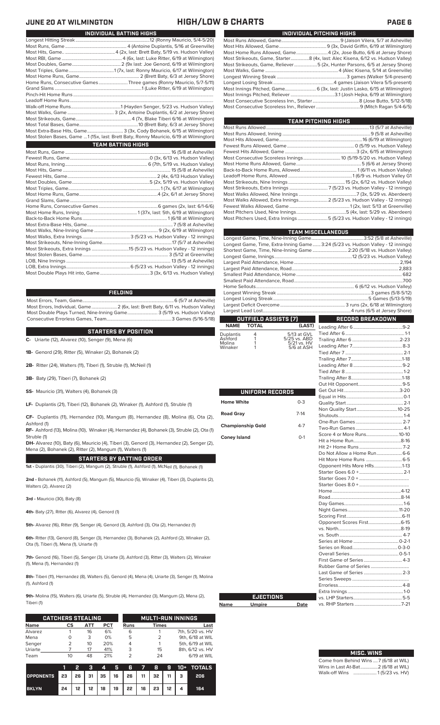| INDIVIDUAL PITCHING HIGHS                                                       |  |  |  |  |  |  |  |  |
|---------------------------------------------------------------------------------|--|--|--|--|--|--|--|--|
|                                                                                 |  |  |  |  |  |  |  |  |
|                                                                                 |  |  |  |  |  |  |  |  |
|                                                                                 |  |  |  |  |  |  |  |  |
| Most Strikeouts, Game, Starter8 (4x, last: Alec Kisena, 6/12 vs. Hudson Valley) |  |  |  |  |  |  |  |  |
| Most Strikeouts, Game, Reliever5 (2x, Hunter Parsons, 6/5 at Jersey Shore)      |  |  |  |  |  |  |  |  |
|                                                                                 |  |  |  |  |  |  |  |  |
|                                                                                 |  |  |  |  |  |  |  |  |
|                                                                                 |  |  |  |  |  |  |  |  |
|                                                                                 |  |  |  |  |  |  |  |  |
|                                                                                 |  |  |  |  |  |  |  |  |
|                                                                                 |  |  |  |  |  |  |  |  |
|                                                                                 |  |  |  |  |  |  |  |  |

| TEAM PITCHING HIGHS                                                       |  |
|---------------------------------------------------------------------------|--|
|                                                                           |  |
|                                                                           |  |
|                                                                           |  |
|                                                                           |  |
|                                                                           |  |
|                                                                           |  |
|                                                                           |  |
|                                                                           |  |
|                                                                           |  |
|                                                                           |  |
|                                                                           |  |
|                                                                           |  |
| Most Walks Allowed, Extra Innings 2 (5/23 vs. Hudson Valley - 12 innings) |  |
|                                                                           |  |
|                                                                           |  |
| Most Pitchers Used, Extra Innings 5 (5/23 vs. Hudson Valley - 12 innings) |  |
|                                                                           |  |

|                          |                        |                                           | <b>TEAM MISCELLANEOUS</b>                                                         |  |
|--------------------------|------------------------|-------------------------------------------|-----------------------------------------------------------------------------------|--|
|                          |                        |                                           |                                                                                   |  |
|                          |                        |                                           | Longest Game, Time, Extra-Inning Game  3:24 (5/23 vs. Hudson Valley - 12 innings) |  |
|                          |                        |                                           | Shortest Game, Time, Nine-Inning Game  2:20 (5/18 vs. Hudson Valley)              |  |
|                          |                        |                                           |                                                                                   |  |
|                          |                        |                                           |                                                                                   |  |
|                          |                        |                                           |                                                                                   |  |
|                          |                        |                                           |                                                                                   |  |
|                          |                        |                                           |                                                                                   |  |
|                          |                        |                                           |                                                                                   |  |
|                          |                        |                                           |                                                                                   |  |
|                          |                        |                                           |                                                                                   |  |
|                          |                        |                                           |                                                                                   |  |
|                          | OUTFIELD ASSISTS [7]   |                                           | <b>RECORD BREAKDOWN</b>                                                           |  |
| <b>NAME</b>              | TOTAL                  | (LAST)                                    |                                                                                   |  |
| Duplantis                | 4                      | 5/13 at GVL                               |                                                                                   |  |
| Ashford<br>Molina        | 1<br>1                 | 5/25 vs. ABD<br>5/21 vs. HV<br>5/6 at ASH |                                                                                   |  |
| Winaker                  | 1                      |                                           |                                                                                   |  |
|                          |                        |                                           |                                                                                   |  |
|                          |                        |                                           |                                                                                   |  |
|                          |                        |                                           |                                                                                   |  |
|                          |                        |                                           |                                                                                   |  |
|                          |                        |                                           |                                                                                   |  |
|                          |                        |                                           |                                                                                   |  |
|                          | <b>UNIFORM RECORDS</b> |                                           |                                                                                   |  |
| <b>Home White</b>        |                        | $0 - 3$                                   |                                                                                   |  |
|                          |                        |                                           |                                                                                   |  |
| <b>Road Gray</b>         |                        | $7-14$                                    |                                                                                   |  |
|                          |                        |                                           |                                                                                   |  |
| <b>Championship Gold</b> |                        | $4 - 7$                                   |                                                                                   |  |
| <b>Coney Island</b>      |                        | $O-1$                                     | Score 4 or More Runs10-10                                                         |  |
|                          |                        |                                           |                                                                                   |  |
|                          |                        |                                           |                                                                                   |  |
|                          |                        |                                           | Do Not Allow a Home Run 6-6                                                       |  |
|                          |                        |                                           |                                                                                   |  |
|                          |                        |                                           | Opponent Hits More HRs1-13                                                        |  |
|                          |                        |                                           |                                                                                   |  |
|                          |                        |                                           |                                                                                   |  |
|                          |                        |                                           |                                                                                   |  |
|                          |                        |                                           |                                                                                   |  |
|                          |                        |                                           |                                                                                   |  |
|                          |                        |                                           |                                                                                   |  |
|                          |                        |                                           |                                                                                   |  |
|                          |                        |                                           |                                                                                   |  |
|                          |                        |                                           |                                                                                   |  |
|                          |                        |                                           |                                                                                   |  |
|                          |                        |                                           |                                                                                   |  |
|                          |                        |                                           |                                                                                   |  |
|                          |                        |                                           |                                                                                   |  |
|                          |                        |                                           |                                                                                   |  |
|                          |                        |                                           |                                                                                   |  |
|                          |                        |                                           |                                                                                   |  |
|                          |                        |                                           |                                                                                   |  |
|                          |                        |                                           |                                                                                   |  |
|                          | <b>EJECTIONS</b>       |                                           |                                                                                   |  |
| Name                     | <b>Umpire</b>          | Date                                      |                                                                                   |  |
|                          |                        |                                           |                                                                                   |  |

# **MISC. WINS**

| Come from Behind Wins  7 (6/18 at WIL) |  |  |
|----------------------------------------|--|--|
| Wins in Last At-Bat 2 (6/18 at WIL)    |  |  |
| Walk-off Wins  1(5/23 vs. HV)          |  |  |

### Longest Hitting Streak ................................................................12 (Ronny Mauricio, 5/4-5/20) Most Runs, Game ..................................................... 4 (Antoine Duplantis, 5/16 at Greenville) Most Hits, Game.. ...........................................4 (2x, last: Brett Baty, 5/19 vs. Hudson Valley) Most RBI, Game .................................................... 4 (6x, last: Luke Ritter, 6/19 at Wilmington) Most Doubles, Game..........................................2 (9x last: Joe Genord, 6/19 at Wilmington) Most Triples, Game.......................................1 (7x, last: Ronny Mauricio, 6/17 at Wilmington) Most Home Runs, Game.................................................... 2 (Brett Baty, 6/3 at Jersey Shore) Home Runs, Consecutive Games .........................Three games (Ronny Mauricio, 5/7-5/11) Grand Slams ...........................................................................1 (Luke Ritter, 6/19 at Wilmington) Pinch-Hit Home Runs. Leadoff Home Runs...<br>Walk-off Home Runs.. Walk-off Home Runs...........................................1 (Hayden Senger, 5/23 vs. Hudson Valley) Most Walks, Game ........................................ 3 (2x, Antoine Duplantis, 6/2 at Jersey Shore) Most Strikeouts, Game................................................4 (7x, Blake Tiberi 6/16 at Wilmington) Most Total Bases, Game...................................................10 (Brett Baty, 6/3 at Jersey Shore) **INDIVIDUAL BATTING HIGHS JUNE 20 AT WILMINGTON HIGH/LOW & CHARTS PAGE 6**

Most Extra-Base Hits, Game............................... 3 (3x, Cody Bohanek, 6/15 at Wilmington) Most Stolen Bases, Game ...1 (15x, last: Brett Baty, Ronny Mauricio, 6/19 at Wilmington)

| <b>TEAM BATTING HIGHS</b> |  |  |
|---------------------------|--|--|
|                           |  |  |

### **FIELDING**

Most Errors, Team, Game...............................................................................6 (5/7 at Asheville) Most Errors, Individual, Game......................2 (6x, last: Brett Baty, 6/11 vs. Hudson Valley) Most Double Plays Turned, Nine-Inning Game.......................... 3 (5/19 vs. Hudson Valley) Consecutive Errorless Games, Team.

### **STARTERS BY POSITION**

**C-** Uriarte (12), Alvarez (10), Senger (9), Mena (6)

**1B-** Genord (29), Ritter (5), Winaker (2), Bohanek (2)

**2B-** Ritter (24), Walters (11), Tiberi (1), Struble (1), McNeil (1)

**3B-** Baty (29), Tiberi (7), Bohanek (2)

**SS-** Mauricio (31), Walters (4), Bohanek (3)

**LF-** Duplantis (21), Tiberi (12), Bohanek (2), Winaker (1), Ashford (1), Struble (1)

**CF-** Duplantis (11), Hernandez (10), Mangum (8), Hernandez (8), Molina (6), Ota (2), Ashford (1)

**RF-** Ashford (13), Molina (10), Winaker (4), Hernandez (4), Bohanek (3), Struble (2), Ota (1) Struble (1)

**DH-** Alvarez (10), Baty (6), Mauricio (4), Tiberi (3), Genord (3), Hernandez (2), Senger (2), Mena (2), Bohanek (2), Ritter (2), Mangum (1), Walters (1)

**STARTERS BY BATTING ORDER**

**1st -** Duplantis (30), Tiberi (2), Mangum (2), Struble (1), Ashford (1), McNeil (1), Bohanek (1)

**2nd -** Bohanek (11), Ashford (5), Mangum (5), Mauricio (5), Winaker (4), Tiberi (3), Duplantis (2), Walters (2), Alvarez (2)

**3rd -** Mauricio (30), Baty (8)

**4th-** Baty (27), Ritter (6), Alvarez (4), Genord (1)

**5th-** Alvarez (16), Ritter (9), Senger (4), Genord (3), Ashford (3), Ota (2), Hernandez (1)

**6th-** Ritter (13), Genord (8), Senger (3), Hernandez (3), Bohanek (2), Ashford (2), Winaker (2), Ota (1), Tiberi (1), Mena (1), Uriarte (1)

**7th-** Genord (16), Tiberi (5), Senger (3), Uriarte (3), Ashford (3), Ritter (3), Walters (2), Winaker (1), Mena (1), Hernandez (1)

**8th-** Tiberi (11), Hernandez (8), Walters (5), Genord (4), Mena (4), Uriarte (3), Senger (1), Molina (1), Ashford (1)

**9th-** Molina (15), Walters (6), Uriarte (5), Struble (4), Hernandez (3), Mangum (2), Mena (2), Tiberi (1)

|             | <b>CATCHERS STEALING</b> |     |            |             |               | <b>MULTI-RUN INNINGS</b> |
|-------------|--------------------------|-----|------------|-------------|---------------|--------------------------|
| <b>Name</b> | СS                       | ATT | <b>PCT</b> | <b>Runs</b> | <b>Times</b>  | Last                     |
| Alvarez     |                          | 16  | 6%         | 6           |               | 7th, 5/20 vs. HV         |
| Mena        |                          | 3   | 0%         | 5           | $\mathcal{P}$ | 9th, 6/18 at WIL         |
| Senger      |                          | 10  | 20%        | 4           |               | 5th, 6/19 at WIL         |
| Uriarte     |                          | 17  | 41%        | 3           | 15            | 8th, 6/12 vs. HV         |
| Team        | 10                       | 48  | 21%        |             | 24            | 6/19 at WIL              |

|                                        | - 2 |  |                                                  |  |  | 3 4 5 6 7 8 9 10 + TOTALS |
|----------------------------------------|-----|--|--------------------------------------------------|--|--|---------------------------|
| OPPONENTS 23 26 31 35 16 26 11 32 11 3 |     |  |                                                  |  |  | - 206                     |
| <b>BKLYN</b>                           |     |  | $24$   12   12   18   19   22   16   23   12   4 |  |  | 164                       |

| $-11 - -121$ |  |
|--------------|--|
|              |  |
|              |  |

| 11               | <b>D.L.</b> |
|------------------|-------------|
| <b>EJECTIONS</b> |             |
|                  |             |
|                  |             |
|                  |             |
|                  |             |
|                  |             |
|                  |             |
|                  |             |

**Name**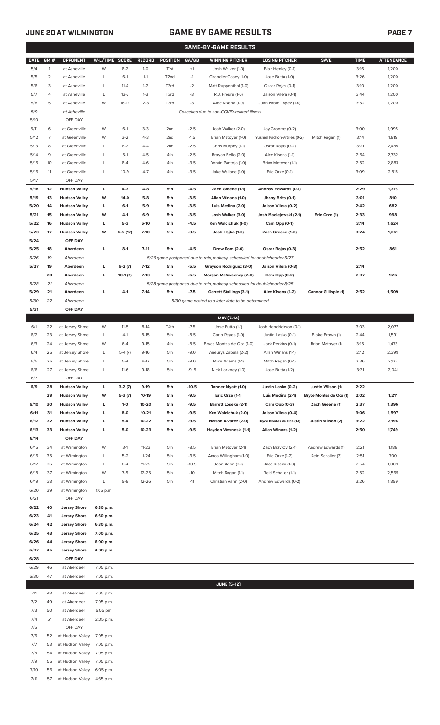# **JUNE 20 AT WILMINGTON GAME BY GAME RESULTS PAGE 7**

|              |                |                                              |                        |           |                  |                   |                  | <b>GAME-BY-GAME RESULTS</b>                                             |                                                 |                             |              |                   |
|--------------|----------------|----------------------------------------------|------------------------|-----------|------------------|-------------------|------------------|-------------------------------------------------------------------------|-------------------------------------------------|-----------------------------|--------------|-------------------|
| <b>DATE</b>  | GM#            | OPPONENT                                     | W-L/TIME SCORE         |           | RECORD           | POSITION          | GA/GB            | <b>WINNING PITCHER</b>                                                  | <b>LOSING PITCHER</b>                           | <b>SAVE</b>                 | <b>TIME</b>  | <b>ATTENDANCE</b> |
| 5/4          | $\mathbf{1}$   | at Asheville                                 | W                      | $8 - 2$   | $1 - 0$          | T <sub>1st</sub>  | $+1$             | Josh Walker (1-0)                                                       | Blair Henley (0-1)                              |                             | 3:16         | 1,200             |
| 5/5          | $\overline{2}$ | at Asheville                                 | L                      | $6-1$     | $1 - 1$          | T <sub>2</sub> nd | $-1$             | Chandler Casey (1-0)                                                    | Jose Butto (1-0)                                |                             | 3:26         | 1,200             |
| 5/6          | 3              | at Asheville                                 | L                      | $11 - 4$  | $1 - 2$          | T3rd              | $-2$             | Matt Ruppenthal (1-0)                                                   | Oscar Rojas (0-1)                               |                             | 3:10         | 1,200             |
| 5/7          | 4              | at Asheville                                 | L                      | $13 - 7$  | $1 - 3$          | T3rd              | -3               | R.J. Freure (1-0)                                                       | Jaison Vilera (0-1)                             |                             | 3:44         | 1,200             |
| 5/8          | 5              | at Asheville                                 | W                      | $16-12$   | $2 - 3$          | T3rd              | -3               | Alec Kisena (1-0)                                                       | Juan Pablo Lopez (1-0)                          |                             | 3:52         | 1,200             |
| 5/9<br>5/10  |                | at Asheville<br>OFF DAY                      |                        |           |                  |                   |                  | Cancelled due to non-COVID-related illness                              |                                                 |                             |              |                   |
| 5/11         | 6              | at Greenville                                | W                      | $6-1$     | $3-3$            | 2 <sub>nd</sub>   | $-2.5$           | Josh Walker (2-0)                                                       | Jay Groome (0-2)                                |                             | 3:00         | 1,995             |
| 5/12         | 7              | at Greenville                                | W                      | $3-2$     | $4 - 3$          | 2 <sub>nd</sub>   | $-1.5$           | Brian Metoyer (1-0)                                                     | Yusniel Padron-Artilles (0-2)                   | Mitch Ragan (1)             | 3:14         | 1,819             |
| 5/13         | 8              | at Greenville                                | L                      | $8 - 2$   | $4 - 4$          | 2 <sub>nd</sub>   | $-2.5$           | Chris Murphy (1-1)                                                      | Oscar Rojas (0-2)                               |                             | 3:21         | 2,485             |
| 5/14         | 9              | at Greenville                                | L                      | $5-1$     | $4 - 5$          | 4th               | $-2.5$           | Brayan Bello (2-0)                                                      | Alec Kisena (1-1)                               |                             | 2:54         | 2,732             |
| 5/15         | 10             | at Greenville                                | L                      | $8-4$     | $4-6$            | 4th               | $-3.5$           | Yorvin Pantoja (1-0)                                                    | Brian Metoyer (1-1)                             |                             | 2:52         | 2,883             |
| 5/16         | 11             | at Greenville                                | L                      | $10-9$    | $4 - 7$          | 4th               | $-3.5$           | Jake Wallace (1-0)                                                      | Eric Orze (0-1)                                 |                             | 3:09         | 2,818             |
| 5/17         |                | OFF DAY                                      |                        |           |                  |                   |                  |                                                                         |                                                 |                             |              |                   |
| 5/18         | 12             | <b>Hudson Valley</b>                         | г                      | $4 - 3$   | $4 - 8$          | 5th               | $-4.5$           | Zach Greene (1-1)                                                       | Andrew Edwards (0-1)                            |                             | 2:29         | 1,315             |
| 5/19         | 13             | <b>Hudson Valley</b>                         | W                      | 14-0      | $5-8$            | 5th               | $-3.5$           | Allan Winans (1-0)                                                      | Jhony Brito (0-1)                               |                             | 3:01         | 810               |
| 5/20         | 14             | <b>Hudson Valley</b>                         | L                      | $6-1$     | $5-9$            | 5th               | $-3.5$           | Luis Medina (2-0)                                                       | Jaison Vilera (0-2)                             |                             | 2:42         | 682               |
| 5/21         | 15             | <b>Hudson Valley</b>                         | W                      | $4-1$     | $6-9$            | 5th               | $-3.5$           | Josh Walker (3-0)                                                       | Josh Maciejewski (2-1)                          | Eric Orze (1)               | 2:33         | 998               |
| 5/22<br>5/23 | 16<br>17       | <b>Hudson Valley</b>                         | г<br>W                 | $5-3$     | $6-10$<br>$7-10$ | 5th<br>5th        | $-4.5$<br>$-3.5$ | Ken Waldichuk (1-0)                                                     | Cam Opp (0-1)                                   |                             | 3:14         | 1,624<br>1,261    |
| 5/24         |                | <b>Hudson Valley</b><br>OFF DAY              |                        | $6-5(12)$ |                  |                   |                  | Josh Hejka (1-0)                                                        | Zach Greene (1-2)                               |                             | 3:24         |                   |
| 5/25         | 18             | Aberdeen                                     | L                      | $8-1$     | $7 - 11$         | 5th               | $-4.5$           | Drew Rom (2-0)                                                          | Oscar Rojas (0-3)                               |                             | 2:52         | 861               |
| 5/26         | 19             | Aberdeen                                     |                        |           |                  |                   |                  | 5/26 game postponed due to rain, makeup scheduled for doubleheader 5/27 |                                                 |                             |              |                   |
| 5/27         | 19             | Aberdeen                                     | г                      | $6-2(7)$  | $7-12$           | 5th               | $-5.5$           | Grayson Rodriguez (3-0)                                                 | Jaison Vilera (0-3)                             |                             | 2:14         |                   |
|              | 20             | Aberdeen                                     | г                      | $10-1(7)$ | $7-13$           | 5th               | $-6.5$           | Morgan McSweeney (2-0)                                                  | Cam Opp (0-2)                                   |                             | 2:37         | 926               |
| 5/28         | 21             | Aberdeen                                     |                        |           |                  |                   |                  | 5/28 game postponed due to rain, makeup scheduled for doubleheader 8/25 |                                                 |                             |              |                   |
| 5/29         | 21             | Aberdeen                                     | г                      | 4-1       | $7 - 14$         | 5th               | $-7.5$           | <b>Garrett Stallings (3-1)</b>                                          | Alec Kisena (1-2)                               | <b>Connor Gillispie (1)</b> | 2:52         | 1,509             |
| 5/30         | 22             | Aberdeen                                     |                        |           |                  |                   |                  | 5/30 game posted to a later date to be determined                       |                                                 |                             |              |                   |
| 5/31         |                | OFF DAY                                      |                        |           |                  |                   |                  |                                                                         |                                                 |                             |              |                   |
|              |                |                                              |                        | $11-5$    | $8-14$           |                   |                  | MAY [7-14]                                                              |                                                 |                             |              |                   |
| 6/1<br>6/2   | 22<br>23       | at Jersey Shore<br>at Jersey Shore           | W<br>L                 | $4-1$     | $8 - 15$         | T4th<br>5th       | $-7.5$<br>$-8.5$ | Jose Butto (1-1)<br>Carlo Reyes (1-0)                                   | Josh Hendrickson (0-1)<br>Justin Lasko (0-1)    | Blake Brown (1)             | 3:03<br>2:44 | 2,077<br>1,591    |
| 6/3          | 24             | at Jersey Shore                              | W                      | $6 - 4$   | $9 - 15$         | 4th               | $-8.5$           | Bryce Montes de Oca (1-0)                                               | Jack Perkins (0-1)                              | Brian Metoyer (1)           | 3:15         | 1,473             |
| 6/4          | 25             | at Jersey Shore                              | L                      | $5-4(7)$  | $9 - 16$         | 5th               | $-9.0$           | Aneurys Zabala (2-2)                                                    | Allan Winans (1-1)                              |                             | 2:12         | 2,399             |
| 6/5          | 26             | at Jersey Shore                              | L                      | $5 - 4$   | $9 - 17$         | 5th               | $-9.0$           | Mike Adams (1-1)                                                        | Mitch Ragan (0-1)                               |                             | 2:36         | 2,122             |
| 6/6          | 27             | at Jersey Shore                              | L                      | $11-6$    | $9-18$           | 5th               | $-9.5$           | Nick Lackney (1-0)                                                      | Jose Butto (1-2)                                |                             | 3:31         | 2,041             |
| 6/7          |                | OFF DAY                                      |                        |           |                  |                   |                  |                                                                         |                                                 |                             |              |                   |
| 6/9          | 28             | <b>Hudson Valley</b>                         | L                      | $3-2(7)$  | $9-19$           | 5th               | $-10.5$          | Tanner Myatt (1-0)                                                      | Justin Lasko (0-2)                              | Justin Wilson (1)           | 2:22         |                   |
|              | 29             | <b>Hudson Valley</b>                         | W                      | $5-3(7)$  | 10-19            | 5th               | $-9.5$           | Eric Orze (1-1)                                                         | Luis Medina (2-1)                               | Bryce Montes de Oca (1)     | 2:02         | 1,211             |
| 6/10         | 30             | <b>Hudson Valley</b>                         | L                      | $1-0$     | 10-20            | 5th               | $-9.5$           | <b>Barrett Loseke (2-1)</b>                                             | Cam Opp (0-3)                                   | Zach Greene (1)             | 2:37         | 1,396             |
| 6/11         | 31             | <b>Hudson Valley</b>                         | L                      | 8-0       | $10 - 21$        | 5th               | $-9.5$           | Ken Waldichuk (2-0)                                                     | Jaison Vilera (0-4)                             |                             | 3:06         | 1,597             |
| 6/12         | 32             | <b>Hudson Valley</b><br><b>Hudson Valley</b> | г                      | $5-4$     | $10 - 22$        | 5th               | $-9.5$           | <b>Nelson Alvarez (2-0)</b><br>Hayden Wesneski (1-1)                    | Bryce Montes de Oca (1-1)<br>Allan Winans (1-2) | Justin Wilson (2)           | 3:22         | 2,194             |
| 6/13<br>6/14 | 33             | OFF DAY                                      | г                      | 5-0       | $10 - 23$        | 5th               | $-9.5$           |                                                                         |                                                 |                             | 2:50         | 1,749             |
| 6/15         | 34             | at Wilmington                                | W                      | $3-1$     | $11 - 23$        | 5th               | $-8.5$           | Brian Metoyer (2-1)                                                     | Zach Brzykcy (2-1)                              | Andrew Edwards (1)          | 2:21         | 1,188             |
| 6/16         | 35             | at Wilmington                                | L                      | $5 - 2$   | $11 - 24$        | 5th               | $-9.5$           | Amos Willingham (1-0)                                                   | Eric Orze (1-2)                                 | Reid Schaller (3)           | 2:51         | 700               |
| 6/17         | 36             | at Wilmington                                | L                      | $8 - 4$   | 11-25            | 5th               | $-10.5$          | Joan Adon (3-1)                                                         | Alec Kisena (1-3)                               |                             | 2:54         | 1,009             |
| 6/18         | 37             | at Wilmington                                | W                      | $7-5$     | 12-25            | 5th               | $-10$            | Mitch Ragan (1-1)                                                       | Reid Schaller (1-1)                             |                             | 2:52         | 2,565             |
| 6/19         | 38             | at Wilmington                                | L                      | $9 - 8$   | 12-26            | 5th               | $-11$            | Christian Vann (2-0)                                                    | Andrew Edwards (0-2)                            |                             | 3:26         | 1,899             |
| 6/20         | 39             | at Wilmington                                | 1:05 p.m.              |           |                  |                   |                  |                                                                         |                                                 |                             |              |                   |
| 6/21         |                | OFF DAY                                      |                        |           |                  |                   |                  |                                                                         |                                                 |                             |              |                   |
| 6/22         | 40             | <b>Jersey Shore</b>                          | 6:30 p.m.              |           |                  |                   |                  |                                                                         |                                                 |                             |              |                   |
| 6/23         | 41             | <b>Jersey Shore</b>                          | 6:30 p.m.              |           |                  |                   |                  |                                                                         |                                                 |                             |              |                   |
| 6/24<br>6/25 | 42<br>43       | <b>Jersey Shore</b><br><b>Jersey Shore</b>   | 6:30 p.m.<br>7:00 p.m. |           |                  |                   |                  |                                                                         |                                                 |                             |              |                   |
| 6/26         | 44             | <b>Jersey Shore</b>                          | 6:00 p.m.              |           |                  |                   |                  |                                                                         |                                                 |                             |              |                   |
| 6/27         | 45             | <b>Jersey Shore</b>                          | 4:00 p.m.              |           |                  |                   |                  |                                                                         |                                                 |                             |              |                   |
| 6/28         |                | OFF DAY                                      |                        |           |                  |                   |                  |                                                                         |                                                 |                             |              |                   |
| 6/29         | 46             | at Aberdeen                                  | 7:05 p.m.              |           |                  |                   |                  |                                                                         |                                                 |                             |              |                   |
| 6/30         | 47             | at Aberdeen                                  | 7:05 p.m.              |           |                  |                   |                  |                                                                         |                                                 |                             |              |                   |
|              |                |                                              |                        |           |                  |                   |                  | <b>JUNE [5-12]</b>                                                      |                                                 |                             |              |                   |
| 7/1          | 48             | at Aberdeen                                  | 7:05 p.m.              |           |                  |                   |                  |                                                                         |                                                 |                             |              |                   |
| 7/2          | 49             | at Aberdeen                                  | 7:05 p.m.              |           |                  |                   |                  |                                                                         |                                                 |                             |              |                   |
| 7/3          | 50             | at Aberdeen                                  | 6:05 pm.               |           |                  |                   |                  |                                                                         |                                                 |                             |              |                   |
| 7/4          | 51             | at Aberdeen                                  | 2:05 p.m.              |           |                  |                   |                  |                                                                         |                                                 |                             |              |                   |
| 7/5<br>7/6   | 52             | OFF DAY<br>at Hudson Valley                  | 7:05 p.m.              |           |                  |                   |                  |                                                                         |                                                 |                             |              |                   |
| 7/7          | 53             | at Hudson Valley                             | 7:05 p.m.              |           |                  |                   |                  |                                                                         |                                                 |                             |              |                   |
| 7/8          | 54             | at Hudson Valley                             | 7:05 p.m.              |           |                  |                   |                  |                                                                         |                                                 |                             |              |                   |
| 7/9          | 55             | at Hudson Valley                             | 7:05 p.m.              |           |                  |                   |                  |                                                                         |                                                 |                             |              |                   |
| 7/10         | 56             | at Hudson Valley                             | 6:05 p.m.              |           |                  |                   |                  |                                                                         |                                                 |                             |              |                   |
| 7/11         | 57             | at Hudson Valley                             | 4:35 p.m.              |           |                  |                   |                  |                                                                         |                                                 |                             |              |                   |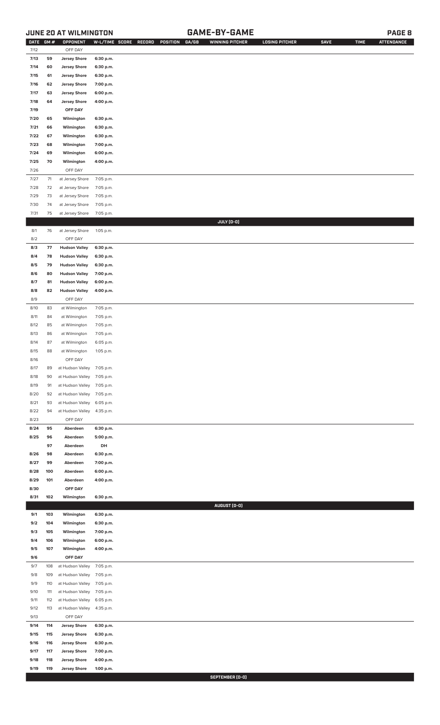## **JUNE 20 AT WILMINGTON GAME-BY-GAME PAGE 8**

| <b>DATE</b>  | GM#        | OPPONENT                                       | W-L/TIME SCORE         | RECORD | POSITION | GA/GB | <b>WINNING PITCHER</b> | <b>LOSING PITCHER</b> | <b>SAVE</b> | <b>TIME</b> | <b>ATTENDANCE</b> |
|--------------|------------|------------------------------------------------|------------------------|--------|----------|-------|------------------------|-----------------------|-------------|-------------|-------------------|
| 7/12         |            | OFF DAY                                        |                        |        |          |       |                        |                       |             |             |                   |
| 7/13         | 59         | <b>Jersey Shore</b>                            | 6:30 p.m.              |        |          |       |                        |                       |             |             |                   |
| 7/14         | 60         | <b>Jersey Shore</b>                            | 6:30 p.m.              |        |          |       |                        |                       |             |             |                   |
| 7/15<br>7/16 | 61<br>62   | <b>Jersey Shore</b><br><b>Jersey Shore</b>     | 6:30 p.m.<br>7:00 p.m. |        |          |       |                        |                       |             |             |                   |
| 7/17         | 63         | <b>Jersey Shore</b>                            | 6:00 p.m.              |        |          |       |                        |                       |             |             |                   |
| 7/18         | 64         | <b>Jersey Shore</b>                            | 4:00 p.m.              |        |          |       |                        |                       |             |             |                   |
| 7/19         |            | OFF DAY                                        |                        |        |          |       |                        |                       |             |             |                   |
| 7/20         | 65         | Wilmington                                     | 6:30 p.m.              |        |          |       |                        |                       |             |             |                   |
| 7/21         | 66         | Wilmington                                     | 6:30 p.m.              |        |          |       |                        |                       |             |             |                   |
| 7/22         | 67         | Wilmington                                     | 6:30 p.m.              |        |          |       |                        |                       |             |             |                   |
| 7/23         | 68         | Wilmington                                     | 7:00 p.m.              |        |          |       |                        |                       |             |             |                   |
| 7/24         | 69         | Wilmington                                     | 6:00 p.m.              |        |          |       |                        |                       |             |             |                   |
| 7/25         | 70         | Wilmington                                     | 4:00 p.m.              |        |          |       |                        |                       |             |             |                   |
| 7/26         |            | OFF DAY                                        |                        |        |          |       |                        |                       |             |             |                   |
| 7/27         | $71$       | at Jersey Shore                                | 7:05 p.m.              |        |          |       |                        |                       |             |             |                   |
| $7/28$       | 72         | at Jersey Shore                                | 7:05 p.m.              |        |          |       |                        |                       |             |             |                   |
| 7/29         | 73         | at Jersey Shore                                | 7:05 p.m.              |        |          |       |                        |                       |             |             |                   |
| 7/30         | 74         | at Jersey Shore                                | 7:05 p.m.              |        |          |       |                        |                       |             |             |                   |
| 7/31         | 75         | at Jersey Shore                                | 7:05 p.m.              |        |          |       |                        |                       |             |             |                   |
| 8/1          | 76         | at Jersey Shore                                | 1:05 p.m.              |        |          |       | JULY (0-0)             |                       |             |             |                   |
| 8/2          |            | OFF DAY                                        |                        |        |          |       |                        |                       |             |             |                   |
| 8/3          | 77         | <b>Hudson Valley</b>                           | 6:30 p.m.              |        |          |       |                        |                       |             |             |                   |
| 8/4          | 78         | <b>Hudson Valley</b>                           | 6:30 p.m.              |        |          |       |                        |                       |             |             |                   |
| 8/5          | 79         | <b>Hudson Valley</b>                           | 6:30 p.m.              |        |          |       |                        |                       |             |             |                   |
| 8/6          | 80         | <b>Hudson Valley</b>                           | 7:00 p.m.              |        |          |       |                        |                       |             |             |                   |
| 8/7          | 81         | <b>Hudson Valley</b>                           | 6:00 p.m.              |        |          |       |                        |                       |             |             |                   |
| 8/8          | 82         | <b>Hudson Valley</b>                           | 4:00 p.m.              |        |          |       |                        |                       |             |             |                   |
| 8/9          |            | OFF DAY                                        |                        |        |          |       |                        |                       |             |             |                   |
| 8/10         | 83         | at Wilmington                                  | 7:05 p.m.              |        |          |       |                        |                       |             |             |                   |
| 8/11         | 84         | at Wilmington                                  | 7:05 p.m.              |        |          |       |                        |                       |             |             |                   |
| 8/12         | 85         | at Wilmington                                  | 7:05 p.m.              |        |          |       |                        |                       |             |             |                   |
| 8/13         | 86         | at Wilmington                                  | 7:05 p.m.              |        |          |       |                        |                       |             |             |                   |
| 8/14         | 87         | at Wilmington                                  | 6:05 p.m.              |        |          |       |                        |                       |             |             |                   |
| 8/15         | 88         | at Wilmington                                  | 1:05 p.m.              |        |          |       |                        |                       |             |             |                   |
| 8/16<br>8/17 |            | OFF DAY                                        |                        |        |          |       |                        |                       |             |             |                   |
| 8/18         | 89<br>90   | at Hudson Valley 7:05 p.m.<br>at Hudson Valley | 7:05 p.m.              |        |          |       |                        |                       |             |             |                   |
| 8/19         | 91         | at Hudson Valley                               | 7:05 p.m.              |        |          |       |                        |                       |             |             |                   |
| 8/20         | 92         | at Hudson Valley                               | 7:05 p.m.              |        |          |       |                        |                       |             |             |                   |
| 8/21         | 93         | at Hudson Valley                               | 6:05 p.m.              |        |          |       |                        |                       |             |             |                   |
| 8/22         | 94         | at Hudson Valley                               | 4:35 p.m.              |        |          |       |                        |                       |             |             |                   |
| 8/23         |            | OFF DAY                                        |                        |        |          |       |                        |                       |             |             |                   |
| 8/24         | 95         | Aberdeen                                       | 6:30 p.m.              |        |          |       |                        |                       |             |             |                   |
| 8/25         | 96         | Aberdeen                                       | 5:00 p.m.              |        |          |       |                        |                       |             |             |                   |
|              | 97         | Aberdeen                                       | DH                     |        |          |       |                        |                       |             |             |                   |
| 8/26<br>8/27 | 98<br>99   | Aberdeen<br>Aberdeen                           | 6:30 p.m.              |        |          |       |                        |                       |             |             |                   |
| 8/28         | 100        | Aberdeen                                       | 7:00 p.m.<br>6:00 p.m. |        |          |       |                        |                       |             |             |                   |
| 8/29         | 101        | Aberdeen                                       | 4:00 p.m.              |        |          |       |                        |                       |             |             |                   |
| 8/30         |            | OFF DAY                                        |                        |        |          |       |                        |                       |             |             |                   |
| 8/31         | 102        | Wilmington                                     | 6:30 p.m.              |        |          |       |                        |                       |             |             |                   |
|              |            |                                                |                        |        |          |       | AUGUST (0-0)           |                       |             |             |                   |
| 9/1          | 103        | Wilmington                                     | 6:30 p.m.              |        |          |       |                        |                       |             |             |                   |
| 9/2          | 104        | Wilmington                                     | 6:30 p.m.              |        |          |       |                        |                       |             |             |                   |
| 9/3          | 105        | Wilmington                                     | 7:00 p.m.              |        |          |       |                        |                       |             |             |                   |
| 9/4          | 106        | Wilmington                                     | 6:00 p.m.              |        |          |       |                        |                       |             |             |                   |
| 9/5          | 107        | Wilmington                                     | 4:00 p.m.              |        |          |       |                        |                       |             |             |                   |
| 9/6<br>9/7   | 108        | OFF DAY<br>at Hudson Valley                    | 7:05 p.m.              |        |          |       |                        |                       |             |             |                   |
| 9/8          | 109        | at Hudson Valley                               | 7:05 p.m.              |        |          |       |                        |                       |             |             |                   |
| 9/9          | 110        | at Hudson Valley                               | 7:05 p.m.              |        |          |       |                        |                       |             |             |                   |
| 9/10         | 111        | at Hudson Valley                               | 7:05 p.m.              |        |          |       |                        |                       |             |             |                   |
| 9/11         | 112        | at Hudson Valley                               | 6:05 p.m.              |        |          |       |                        |                       |             |             |                   |
| 9/12         | 113        | at Hudson Valley                               | 4:35 p.m.              |        |          |       |                        |                       |             |             |                   |
| 9/13         |            | OFF DAY                                        |                        |        |          |       |                        |                       |             |             |                   |
| 9/14         | 114        | <b>Jersey Shore</b>                            | 6:30 p.m.              |        |          |       |                        |                       |             |             |                   |
| 9/15         | 115        | <b>Jersey Shore</b>                            | 6:30 p.m.              |        |          |       |                        |                       |             |             |                   |
| 9/16         | 116        | <b>Jersey Shore</b>                            | 6:30 p.m.              |        |          |       |                        |                       |             |             |                   |
| 9/17         | 117        | <b>Jersey Shore</b>                            | 7:00 p.m.              |        |          |       |                        |                       |             |             |                   |
| 9/18<br>9/19 | 118<br>119 | <b>Jersey Shore</b><br><b>Jersey Shore</b>     | 4:00 p.m.<br>1:00 p.m. |        |          |       |                        |                       |             |             |                   |
|              |            |                                                |                        |        |          |       |                        |                       |             |             |                   |

**SEPTEMBER (0-0)**